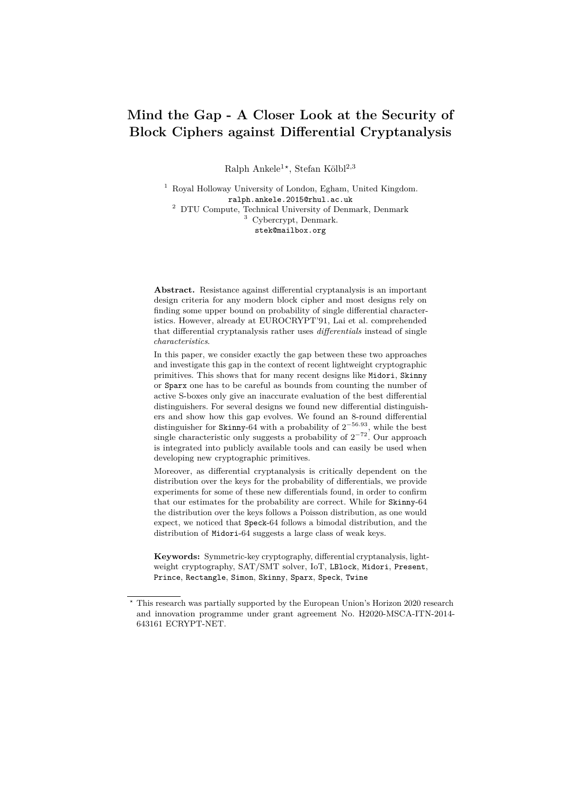# <span id="page-0-0"></span>**Mind the Gap - A Closer Look at the Security of Block Ciphers against Differential Cryptanalysis**

Ralph Ankele<sup>1\*</sup>, Stefan Kölbl<sup>2,3</sup>

<sup>1</sup> Royal Holloway University of London, Egham, United Kingdom. ralph.ankele.2015@rhul.ac.uk <sup>2</sup> DTU Compute, Technical University of Denmark, Denmark <sup>3</sup> Cybercrypt, Denmark. stek@mailbox.org

**Abstract.** Resistance against differential cryptanalysis is an important design criteria for any modern block cipher and most designs rely on finding some upper bound on probability of single differential characteristics. However, already at EUROCRYPT'91, Lai et al. comprehended that differential cryptanalysis rather uses *differentials* instead of single *characteristics*.

In this paper, we consider exactly the gap between these two approaches and investigate this gap in the context of recent lightweight cryptographic primitives. This shows that for many recent designs like Midori, Skinny or Sparx one has to be careful as bounds from counting the number of active S-boxes only give an inaccurate evaluation of the best differential distinguishers. For several designs we found new differential distinguishers and show how this gap evolves. We found an 8-round differential distinguisher for Skinny-64 with a probability of 2 <sup>−</sup>56*.*<sup>93</sup>, while the best single characteristic only suggests a probability of  $2^{-72}$ . Our approach is integrated into publicly available tools and can easily be used when developing new cryptographic primitives.

Moreover, as differential cryptanalysis is critically dependent on the distribution over the keys for the probability of differentials, we provide experiments for some of these new differentials found, in order to confirm that our estimates for the probability are correct. While for Skinny-64 the distribution over the keys follows a Poisson distribution, as one would expect, we noticed that Speck-64 follows a bimodal distribution, and the distribution of Midori-64 suggests a large class of weak keys.

**Keywords:** Symmetric-key cryptography, differential cryptanalysis, lightweight cryptography, SAT/SMT solver, IoT, LBlock, Midori, Present, Prince, Rectangle, Simon, Skinny, Sparx, Speck, Twine

*<sup>?</sup>* This research was partially supported by the European Union's Horizon 2020 research and innovation programme under grant agreement No. H2020-MSCA-ITN-2014- 643161 ECRYPT-NET.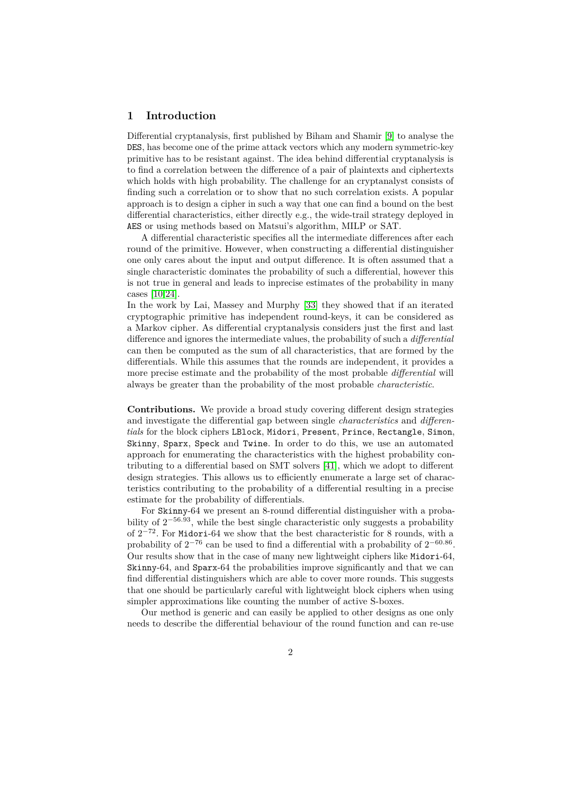### **1 Introduction**

Differential cryptanalysis, first published by Biham and Shamir [\[9\]](#page-22-0) to analyse the DES, has become one of the prime attack vectors which any modern symmetric-key primitive has to be resistant against. The idea behind differential cryptanalysis is to find a correlation between the difference of a pair of plaintexts and ciphertexts which holds with high probability. The challenge for an cryptanalyst consists of finding such a correlation or to show that no such correlation exists. A popular approach is to design a cipher in such a way that one can find a bound on the best differential characteristics, either directly e.g., the wide-trail strategy deployed in AES or using methods based on Matsui's algorithm, MILP or SAT.

A differential characteristic specifies all the intermediate differences after each round of the primitive. However, when constructing a differential distinguisher one only cares about the input and output difference. It is often assumed that a single characteristic dominates the probability of such a differential, however this is not true in general and leads to inprecise estimates of the probability in many cases [\[10,](#page-22-1)[24\]](#page-23-0).

In the work by Lai, Massey and Murphy [\[33\]](#page-23-1) they showed that if an iterated cryptographic primitive has independent round-keys, it can be considered as a Markov cipher. As differential cryptanalysis considers just the first and last difference and ignores the intermediate values, the probability of such a *differential* can then be computed as the sum of all characteristics, that are formed by the differentials. While this assumes that the rounds are independent, it provides a more precise estimate and the probability of the most probable *differential* will always be greater than the probability of the most probable *characteristic*.

**Contributions.** We provide a broad study covering different design strategies and investigate the differential gap between single *characteristics* and *differentials* for the block ciphers LBlock, Midori, Present, Prince, Rectangle, Simon, Skinny, Sparx, Speck and Twine. In order to do this, we use an automated approach for enumerating the characteristics with the highest probability contributing to a differential based on SMT solvers [\[41\]](#page-24-0), which we adopt to different design strategies. This allows us to efficiently enumerate a large set of characteristics contributing to the probability of a differential resulting in a precise estimate for the probability of differentials.

For Skinny-64 we present an 8-round differential distinguisher with a probability of 2 <sup>−</sup>56*.*<sup>93</sup>, while the best single characteristic only suggests a probability of  $2^{-72}$ . For Midori-64 we show that the best characteristic for 8 rounds, with a probability of  $2^{-76}$  can be used to find a differential with a probability of  $2^{-60.86}$ . Our results show that in the case of many new lightweight ciphers like Midori-64, Skinny-64, and Sparx-64 the probabilities improve significantly and that we can find differential distinguishers which are able to cover more rounds. This suggests that one should be particularly careful with lightweight block ciphers when using simpler approximations like counting the number of active S-boxes.

Our method is generic and can easily be applied to other designs as one only needs to describe the differential behaviour of the round function and can re-use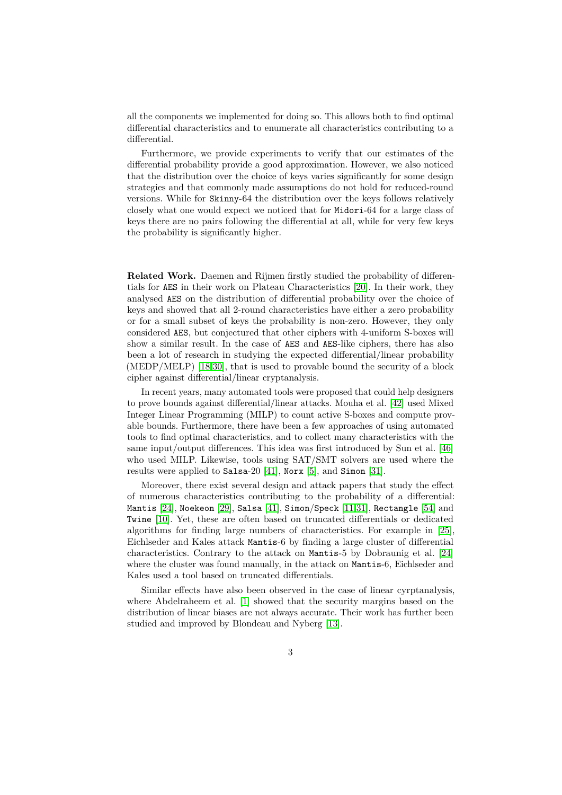all the components we implemented for doing so. This allows both to find optimal differential characteristics and to enumerate all characteristics contributing to a differential.

Furthermore, we provide experiments to verify that our estimates of the differential probability provide a good approximation. However, we also noticed that the distribution over the choice of keys varies significantly for some design strategies and that commonly made assumptions do not hold for reduced-round versions. While for Skinny-64 the distribution over the keys follows relatively closely what one would expect we noticed that for Midori-64 for a large class of keys there are no pairs following the differential at all, while for very few keys the probability is significantly higher.

**Related Work.** Daemen and Rijmen firstly studied the probability of differentials for AES in their work on Plateau Characteristics [\[20\]](#page-23-2). In their work, they analysed AES on the distribution of differential probability over the choice of keys and showed that all 2-round characteristics have either a zero probability or for a small subset of keys the probability is non-zero. However, they only considered AES, but conjectured that other ciphers with 4-uniform S-boxes will show a similar result. In the case of AES and AES-like ciphers, there has also been a lot of research in studying the expected differential/linear probability (MEDP/MELP) [\[18,](#page-22-2)[30\]](#page-23-3), that is used to provable bound the security of a block cipher against differential/linear cryptanalysis.

In recent years, many automated tools were proposed that could help designers to prove bounds against differential/linear attacks. Mouha et al. [\[42\]](#page-24-1) used Mixed Integer Linear Programming (MILP) to count active S-boxes and compute provable bounds. Furthermore, there have been a few approaches of using automated tools to find optimal characteristics, and to collect many characteristics with the same input/output differences. This idea was first introduced by Sun et al. [\[46\]](#page-24-2) who used MILP. Likewise, tools using SAT/SMT solvers are used where the results were applied to Salsa-20 [\[41\]](#page-24-0), Norx [\[5\]](#page-21-0), and Simon [\[31\]](#page-23-4).

Moreover, there exist several design and attack papers that study the effect of numerous characteristics contributing to the probability of a differential: Mantis [\[24\]](#page-23-0), Noekeon [\[29\]](#page-23-5), Salsa [\[41\]](#page-24-0), Simon/Speck [\[11,](#page-22-3)[31\]](#page-23-4), Rectangle [\[54\]](#page-25-0) and Twine [\[10\]](#page-22-1). Yet, these are often based on truncated differentials or dedicated algorithms for finding large numbers of characteristics. For example in [\[25\]](#page-23-6), Eichlseder and Kales attack Mantis-6 by finding a large cluster of differential characteristics. Contrary to the attack on Mantis-5 by Dobraunig et al. [\[24\]](#page-23-0) where the cluster was found manually, in the attack on Mantis-6, Eichlseder and Kales used a tool based on truncated differentials.

Similar effects have also been observed in the case of linear cyrptanalysis, where Abdelraheem et al. [\[1\]](#page-21-1) showed that the security margins based on the distribution of linear biases are not always accurate. Their work has further been studied and improved by Blondeau and Nyberg [\[13\]](#page-22-4).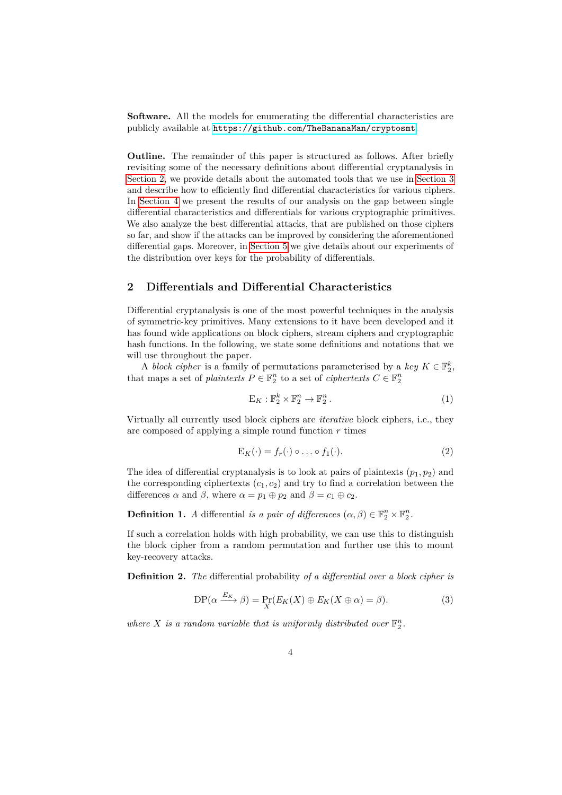**Software.** All the models for enumerating the differential characteristics are publicly available at <https://github.com/TheBananaMan/cryptosmt>.

**Outline.** The remainder of this paper is structured as follows. After briefly revisiting some of the necessary definitions about differential cryptanalysis in [Section 2,](#page-3-0) we provide details about the automated tools that we use in [Section 3](#page-5-0) and describe how to efficiently find differential characteristics for various ciphers. In [Section 4](#page-10-0) we present the results of our analysis on the gap between single differential characteristics and differentials for various cryptographic primitives. We also analyze the best differential attacks, that are published on those ciphers so far, and show if the attacks can be improved by considering the aforementioned differential gaps. Moreover, in [Section 5](#page-18-0) we give details about our experiments of the distribution over keys for the probability of differentials.

### <span id="page-3-0"></span>**2 Differentials and Differential Characteristics**

Differential cryptanalysis is one of the most powerful techniques in the analysis of symmetric-key primitives. Many extensions to it have been developed and it has found wide applications on block ciphers, stream ciphers and cryptographic hash functions. In the following, we state some definitions and notations that we will use throughout the paper.

A *block cipher* is a family of permutations parameterised by a *key*  $K \in \mathbb{F}_2^k$ , that maps a set of *plaintexts*  $P \in \mathbb{F}_2^n$  to a set of *ciphertexts*  $C \in \mathbb{F}_2^n$ 

$$
\mathcal{E}_K: \mathbb{F}_2^k \times \mathbb{F}_2^n \to \mathbb{F}_2^n. \tag{1}
$$

Virtually all currently used block ciphers are *iterative* block ciphers, i.e., they are composed of applying a simple round function *r* times

$$
E_K(\cdot) = f_r(\cdot) \circ \dots \circ f_1(\cdot). \tag{2}
$$

The idea of differential cryptanalysis is to look at pairs of plaintexts  $(p_1, p_2)$  and the corresponding ciphertexts  $(c_1, c_2)$  and try to find a correlation between the differences  $\alpha$  and  $\beta$ , where  $\alpha = p_1 \oplus p_2$  and  $\beta = c_1 \oplus c_2$ .

**Definition 1.** *A* differential *is a pair of differences*  $(\alpha, \beta) \in \mathbb{F}_2^n \times \mathbb{F}_2^n$ .

If such a correlation holds with high probability, we can use this to distinguish the block cipher from a random permutation and further use this to mount key-recovery attacks.

**Definition 2.** *The* differential probability *of a differential over a block cipher is*

$$
DP(\alpha \xrightarrow{E_K} \beta) = \Pr_X(E_K(X) \oplus E_K(X \oplus \alpha) = \beta).
$$
 (3)

where *X* is a random variable that is uniformly distributed over  $\mathbb{F}_2^n$ .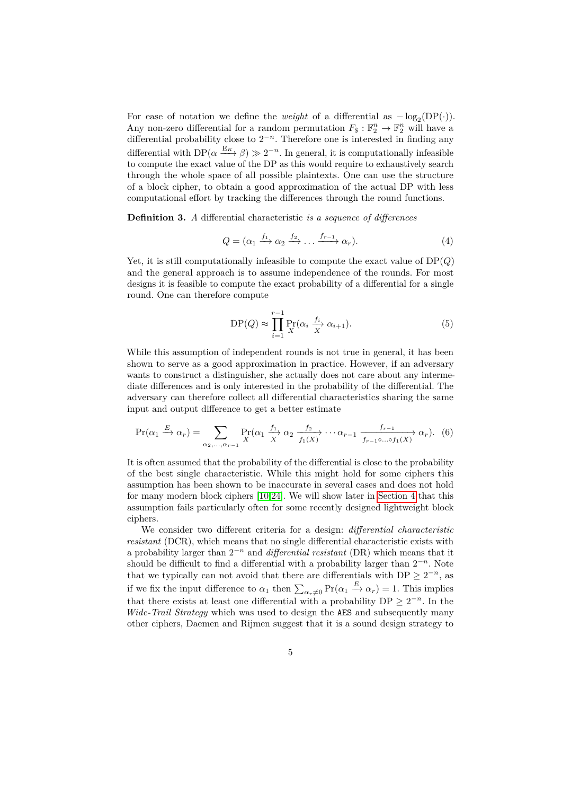For ease of notation we define the *weight* of a differential as  $-\log_2(DP(\cdot))$ . Any non-zero differential for a random permutation  $F_{\$}: \mathbb{F}_2^n \to \mathbb{F}_2^n$  will have a differential probability close to  $2^{-n}$ . Therefore one is interested in finding any differential with  $DP(\alpha \xrightarrow{E_K} \beta) \gg 2^{-n}$ . In general, it is computationally infeasible to compute the exact value of the DP as this would require to exhaustively search through the whole space of all possible plaintexts. One can use the structure of a block cipher, to obtain a good approximation of the actual DP with less computational effort by tracking the differences through the round functions.

**Definition 3.** *A* differential characteristic *is a sequence of differences*

$$
Q = (\alpha_1 \xrightarrow{f_1} \alpha_2 \xrightarrow{f_2} \dots \xrightarrow{f_{r-1}} \alpha_r). \tag{4}
$$

Yet, it is still computationally infeasible to compute the exact value of DP(*Q*) and the general approach is to assume independence of the rounds. For most designs it is feasible to compute the exact probability of a differential for a single round. One can therefore compute

$$
DP(Q) \approx \prod_{i=1}^{r-1} \Pr_{X}(\alpha_i \frac{f_i}{X} \alpha_{i+1}).
$$
\n(5)

While this assumption of independent rounds is not true in general, it has been shown to serve as a good approximation in practice. However, if an adversary wants to construct a distinguisher, she actually does not care about any intermediate differences and is only interested in the probability of the differential. The adversary can therefore collect all differential characteristics sharing the same input and output difference to get a better estimate

<span id="page-4-0"></span>
$$
\Pr(\alpha_1 \xrightarrow{E} \alpha_r) = \sum_{\alpha_2, ..., \alpha_{r-1}} \Pr_X(\alpha_1 \xrightarrow{f_1} \alpha_2 \xrightarrow{f_2} \cdots \alpha_{r-1} \xrightarrow{f_{r-1}, \dots, f_1(X)} \alpha_r). \tag{6}
$$

It is often assumed that the probability of the differential is close to the probability of the best single characteristic. While this might hold for some ciphers this assumption has been shown to be inaccurate in several cases and does not hold for many modern block ciphers [\[10](#page-22-1)[,24\]](#page-23-0). We will show later in [Section 4](#page-10-0) that this assumption fails particularly often for some recently designed lightweight block ciphers.

We consider two different criteria for a design: *differential characteristic resistant* (DCR), which means that no single differential characteristic exists with a probability larger than 2 <sup>−</sup>*<sup>n</sup>* and *differential resistant* (DR) which means that it should be difficult to find a differential with a probability larger than  $2^{-n}$ . Note that we typically can not avoid that there are differentials with  $DP \geq 2^{-n}$ , as if we fix the input difference to  $\alpha_1$  then  $\sum_{\alpha_r\neq 0} \Pr(\alpha_1 \stackrel{E}{\to} \alpha_r) = 1$ . This implies that there exists at least one differential with a probability  $DP \geq 2^{-n}$ . In the *Wide-Trail Strategy* which was used to design the AES and subsequently many other ciphers, Daemen and Rijmen suggest that it is a sound design strategy to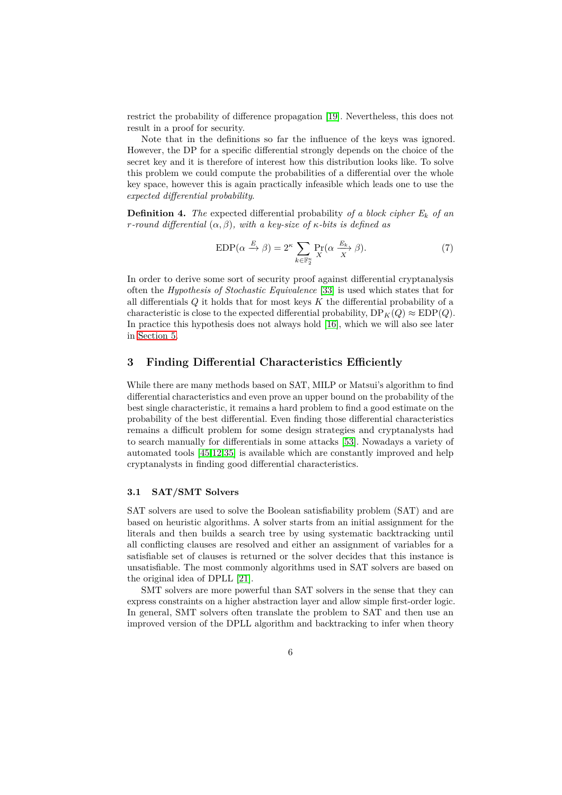restrict the probability of difference propagation [\[19\]](#page-22-5). Nevertheless, this does not result in a proof for security.

Note that in the definitions so far the influence of the keys was ignored. However, the DP for a specific differential strongly depends on the choice of the secret key and it is therefore of interest how this distribution looks like. To solve this problem we could compute the probabilities of a differential over the whole key space, however this is again practically infeasible which leads one to use the *expected differential probability*.

**Definition 4.** The expected differential probability of a block cipher  $E_k$  of an *r-round differential* (*α, β*)*, with a key-size of κ-bits is defined as*

$$
EDP(\alpha \xrightarrow{E} \beta) = 2^{\kappa} \sum_{k \in \mathbb{F}_2^{\kappa}} \Pr_{X}(\alpha \xrightarrow{E_k} \beta).
$$
 (7)

In order to derive some sort of security proof against differential cryptanalysis often the *Hypothesis of Stochastic Equivalence* [\[33\]](#page-23-1) is used which states that for all differentials *Q* it holds that for most keys *K* the differential probability of a characteristic is close to the expected differential probability,  $DP_K(Q) \approx EDP(Q)$ . In practice this hypothesis does not always hold [\[16\]](#page-22-6), which we will also see later in [Section 5.](#page-18-0)

### <span id="page-5-0"></span>**3 Finding Differential Characteristics Efficiently**

While there are many methods based on SAT, MILP or Matsui's algorithm to find differential characteristics and even prove an upper bound on the probability of the best single characteristic, it remains a hard problem to find a good estimate on the probability of the best differential. Even finding those differential characteristics remains a difficult problem for some design strategies and cryptanalysts had to search manually for differentials in some attacks [\[53\]](#page-25-1). Nowadays a variety of automated tools [\[45,](#page-24-3)[12,](#page-22-7)[35\]](#page-24-4) is available which are constantly improved and help cryptanalysts in finding good differential characteristics.

### **3.1 SAT/SMT Solvers**

SAT solvers are used to solve the Boolean satisfiability problem (SAT) and are based on heuristic algorithms. A solver starts from an initial assignment for the literals and then builds a search tree by using systematic backtracking until all conflicting clauses are resolved and either an assignment of variables for a satisfiable set of clauses is returned or the solver decides that this instance is unsatisfiable. The most commonly algorithms used in SAT solvers are based on the original idea of DPLL [\[21\]](#page-23-7).

SMT solvers are more powerful than SAT solvers in the sense that they can express constraints on a higher abstraction layer and allow simple first-order logic. In general, SMT solvers often translate the problem to SAT and then use an improved version of the DPLL algorithm and backtracking to infer when theory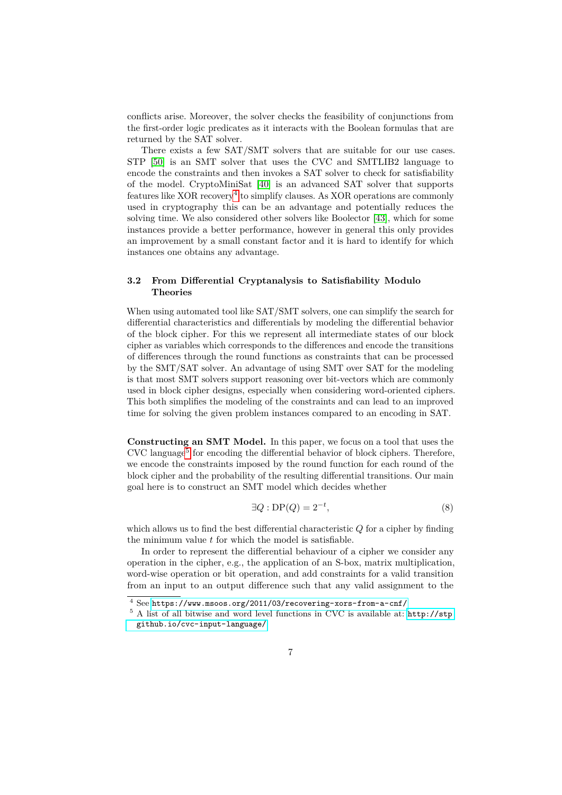conflicts arise. Moreover, the solver checks the feasibility of conjunctions from the first-order logic predicates as it interacts with the Boolean formulas that are returned by the SAT solver.

There exists a few SAT/SMT solvers that are suitable for our use cases. STP [\[50\]](#page-25-2) is an SMT solver that uses the CVC and SMTLIB2 language to encode the constraints and then invokes a SAT solver to check for satisfiability of the model. CryptoMiniSat [\[40\]](#page-24-5) is an advanced SAT solver that supports features like XOR recovery<sup>[4](#page-6-0)</sup> to simplify clauses. As XOR operations are commonly used in cryptography this can be an advantage and potentially reduces the solving time. We also considered other solvers like Boolector [\[43\]](#page-24-6), which for some instances provide a better performance, however in general this only provides an improvement by a small constant factor and it is hard to identify for which instances one obtains any advantage.

### **3.2 From Differential Cryptanalysis to Satisfiability Modulo Theories**

When using automated tool like SAT/SMT solvers, one can simplify the search for differential characteristics and differentials by modeling the differential behavior of the block cipher. For this we represent all intermediate states of our block cipher as variables which corresponds to the differences and encode the transitions of differences through the round functions as constraints that can be processed by the SMT/SAT solver. An advantage of using SMT over SAT for the modeling is that most SMT solvers support reasoning over bit-vectors which are commonly used in block cipher designs, especially when considering word-oriented ciphers. This both simplifies the modeling of the constraints and can lead to an improved time for solving the given problem instances compared to an encoding in SAT.

**Constructing an SMT Model.** In this paper, we focus on a tool that uses the CVC language<sup>[5](#page-6-1)</sup> for encoding the differential behavior of block ciphers. Therefore, we encode the constraints imposed by the round function for each round of the block cipher and the probability of the resulting differential transitions. Our main goal here is to construct an SMT model which decides whether

$$
\exists Q : \text{DP}(Q) = 2^{-t},\tag{8}
$$

which allows us to find the best differential characteristic *Q* for a cipher by finding the minimum value *t* for which the model is satisfiable.

In order to represent the differential behaviour of a cipher we consider any operation in the cipher, e.g., the application of an S-box, matrix multiplication, word-wise operation or bit operation, and add constraints for a valid transition from an input to an output difference such that any valid assignment to the

<span id="page-6-0"></span><sup>4</sup> See <https://www.msoos.org/2011/03/recovering-xors-from-a-cnf/>

<span id="page-6-1"></span><sup>5</sup> A list of all bitwise and word level functions in CVC is available at: [http://stp.](http://stp.github.io/cvc-input-language/) [github.io/cvc-input-language/](http://stp.github.io/cvc-input-language/)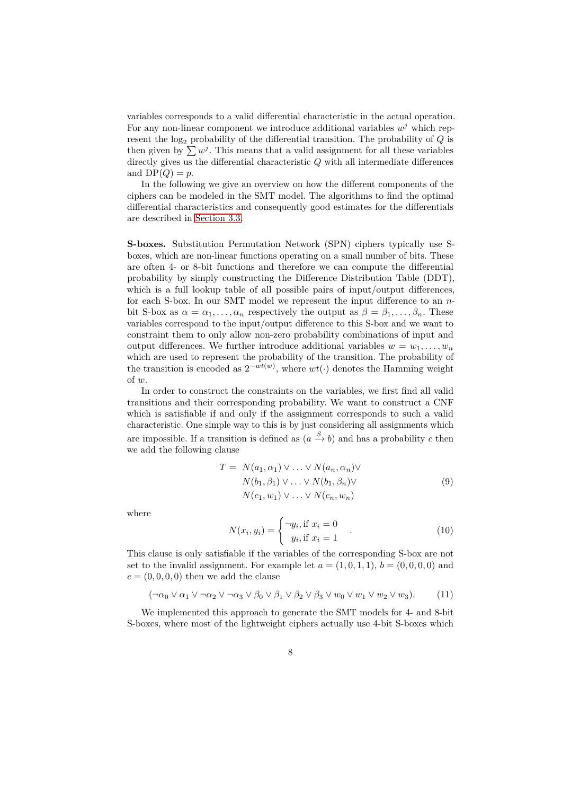variables corresponds to a valid differential characteristic in the actual operation. For any non-linear component we introduce additional variables  $w^j$  which represent the  $log_2$  probability of the differential transition. The probability of  $Q$  is then given by  $\sum w^j$ . This means that a valid assignment for all these variables directly gives us the differential characteristic *Q* with all intermediate differences and  $DP(Q) = p$ .

In the following we give an overview on how the different components of the ciphers can be modeled in the SMT model. The algorithms to find the optimal differential characteristics and consequently good estimates for the differentials are described in [Section 3.3.](#page-9-0)

<span id="page-7-0"></span>**S-boxes.** Substitution Permutation Network (SPN) ciphers typically use Sboxes, which are non-linear functions operating on a small number of bits. These are often 4- or 8-bit functions and therefore we can compute the differential probability by simply constructing the Difference Distribution Table (DDT), which is a full lookup table of all possible pairs of input/output differences, for each S-box. In our SMT model we represent the input difference to an *n*bit S-box as  $\alpha = \alpha_1, \ldots, \alpha_n$  respectively the output as  $\beta = \beta_1, \ldots, \beta_n$ . These variables correspond to the input/output difference to this S-box and we want to constraint them to only allow non-zero probability combinations of input and output differences. We further introduce additional variables  $w = w_1, \ldots, w_n$ which are used to represent the probability of the transition. The probability of the transition is encoded as  $2^{-wt(w)}$ , where  $wt(\cdot)$  denotes the Hamming weight of *w*.

In order to construct the constraints on the variables, we first find all valid transitions and their corresponding probability. We want to construct a CNF which is satisfiable if and only if the assignment corresponds to such a valid characteristic. One simple way to this is by just considering all assignments which are impossible. If a transition is defined as  $(a \stackrel{S}{\to} b)$  and has a probability *c* then we add the following clause

$$
T = N(a_1, \alpha_1) \vee \ldots \vee N(a_n, \alpha_n) \vee
$$
  
\n
$$
N(b_1, \beta_1) \vee \ldots \vee N(b_1, \beta_n) \vee
$$
  
\n
$$
N(c_1, w_1) \vee \ldots \vee N(c_n, w_n)
$$
  
\n(9)

where

$$
N(x_i, y_i) = \begin{cases} \neg y_i, \text{if } x_i = 0\\ y_i, \text{if } x_i = 1 \end{cases} \tag{10}
$$

This clause is only satisfiable if the variables of the corresponding S-box are not set to the invalid assignment. For example let  $a = (1,0,1,1), b = (0,0,0,0)$  and  $c = (0, 0, 0, 0)$  then we add the clause

$$
(\neg \alpha_0 \lor \alpha_1 \lor \neg \alpha_2 \lor \neg \alpha_3 \lor \beta_0 \lor \beta_1 \lor \beta_2 \lor \beta_3 \lor w_0 \lor w_1 \lor w_2 \lor w_3). \tag{11}
$$

We implemented this approach to generate the SMT models for 4- and 8-bit S-boxes, where most of the lightweight ciphers actually use 4-bit S-boxes which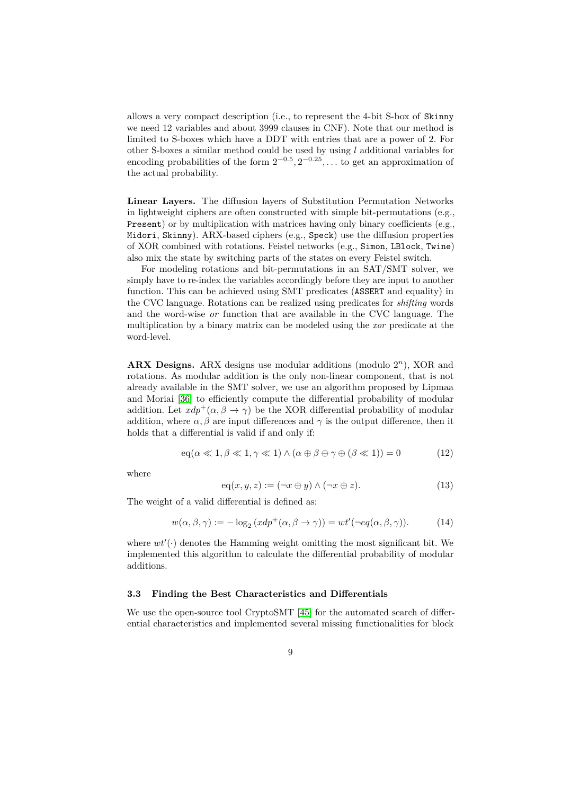allows a very compact description (i.e., to represent the 4-bit S-box of Skinny we need 12 variables and about 3999 clauses in CNF). Note that our method is limited to S-boxes which have a DDT with entries that are a power of 2. For other S-boxes a similar method could be used by using *l* additional variables for encoding probabilities of the form  $2^{-0.5}, 2^{-0.25}, \ldots$  to get an approximation of the actual probability.

**Linear Layers.** The diffusion layers of Substitution Permutation Networks in lightweight ciphers are often constructed with simple bit-permutations (e.g., Present) or by multiplication with matrices having only binary coefficients (e.g., Midori, Skinny). ARX-based ciphers (e.g., Speck) use the diffusion properties of XOR combined with rotations. Feistel networks (e.g., Simon, LBlock, Twine) also mix the state by switching parts of the states on every Feistel switch.

For modeling rotations and bit-permutations in an SAT/SMT solver, we simply have to re-index the variables accordingly before they are input to another function. This can be achieved using SMT predicates (ASSERT and equality) in the CVC language. Rotations can be realized using predicates for *shifting* words and the word-wise *or* function that are available in the CVC language. The multiplication by a binary matrix can be modeled using the *xor* predicate at the word-level.

**ARX Designs.** ARX designs use modular additions (modulo 2 *<sup>n</sup>*), XOR and rotations. As modular addition is the only non-linear component, that is not already available in the SMT solver, we use an algorithm proposed by Lipmaa and Moriai [\[36\]](#page-24-7) to efficiently compute the differential probability of modular addition. Let  $xdp^+(\alpha, \beta \rightarrow \gamma)$  be the XOR differential probability of modular addition, where  $\alpha$ ,  $\beta$  are input differences and  $\gamma$  is the output difference, then it holds that a differential is valid if and only if:

$$
eq(\alpha \ll 1, \beta \ll 1, \gamma \ll 1) \land (\alpha \oplus \beta \oplus \gamma \oplus (\beta \ll 1)) = 0
$$
 (12)

where

$$
eq(x, y, z) := (\neg x \oplus y) \land (\neg x \oplus z). \tag{13}
$$

The weight of a valid differential is defined as:

$$
w(\alpha, \beta, \gamma) := -\log_2(xdp^+(\alpha, \beta \to \gamma)) = wt'(\neg eq(\alpha, \beta, \gamma)).
$$
 (14)

where  $wt'(\cdot)$  denotes the Hamming weight omitting the most significant bit. We implemented this algorithm to calculate the differential probability of modular additions.

### **3.3 Finding the Best Characteristics and Differentials**

We use the open-source tool CryptoSMT [\[45\]](#page-24-3) for the automated search of differential characteristics and implemented several missing functionalities for block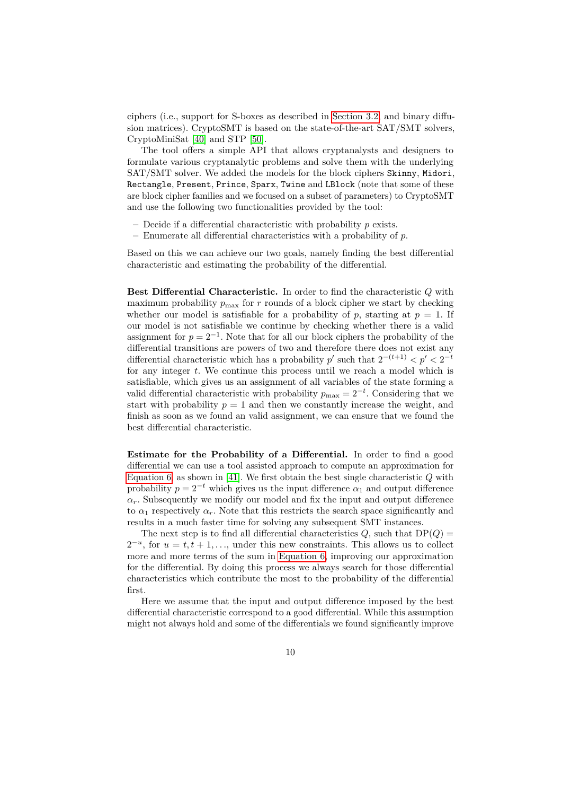ciphers (i.e., support for S-boxes as described in [Section 3.2,](#page-7-0) and binary diffusion matrices). CryptoSMT is based on the state-of-the-art SAT/SMT solvers, CryptoMiniSat [\[40\]](#page-24-5) and STP [\[50\]](#page-25-2).

The tool offers a simple API that allows cryptanalysts and designers to formulate various cryptanalytic problems and solve them with the underlying SAT/SMT solver. We added the models for the block ciphers Skinny, Midori, Rectangle, Present, Prince, Sparx, Twine and LBlock (note that some of these are block cipher families and we focused on a subset of parameters) to CryptoSMT and use the following two functionalities provided by the tool:

- **–** Decide if a differential characteristic with probability *p* exists.
- **–** Enumerate all differential characteristics with a probability of *p*.

Based on this we can achieve our two goals, namely finding the best differential characteristic and estimating the probability of the differential.

**Best Differential Characteristic.** In order to find the characteristic *Q* with maximum probability  $p_{\text{max}}$  for  $r$  rounds of a block cipher we start by checking whether our model is satisfiable for a probability of  $p$ , starting at  $p = 1$ . If our model is not satisfiable we continue by checking whether there is a valid assignment for  $p = 2^{-1}$ . Note that for all our block ciphers the probability of the differential transitions are powers of two and therefore there does not exist any differential characteristic which has a probability  $p'$  such that  $2^{-(t+1)} < p' < 2^{-t}$ for any integer *t*. We continue this process until we reach a model which is satisfiable, which gives us an assignment of all variables of the state forming a valid differential characteristic with probability  $p_{\text{max}} = 2^{-t}$ . Considering that we start with probability  $p = 1$  and then we constantly increase the weight, and finish as soon as we found an valid assignment, we can ensure that we found the best differential characteristic.

<span id="page-9-0"></span>**Estimate for the Probability of a Differential.** In order to find a good differential we can use a tool assisted approach to compute an approximation for [Equation 6,](#page-4-0) as shown in [\[41\]](#page-24-0). We first obtain the best single characteristic *Q* with probability  $p = 2^{-t}$  which gives us the input difference  $\alpha_1$  and output difference  $a_r$ . Subsequently we modify our model and fix the input and output difference to  $\alpha_1$  respectively  $\alpha_r$ . Note that this restricts the search space significantly and results in a much faster time for solving any subsequent SMT instances.

The next step is to find all differential characteristics  $Q$ , such that  $DP(Q) =$  $2^{-u}$ , for  $u = t, t + 1, \ldots$ , under this new constraints. This allows us to collect more and more terms of the sum in [Equation 6,](#page-4-0) improving our approximation for the differential. By doing this process we always search for those differential characteristics which contribute the most to the probability of the differential first.

Here we assume that the input and output difference imposed by the best differential characteristic correspond to a good differential. While this assumption might not always hold and some of the differentials we found significantly improve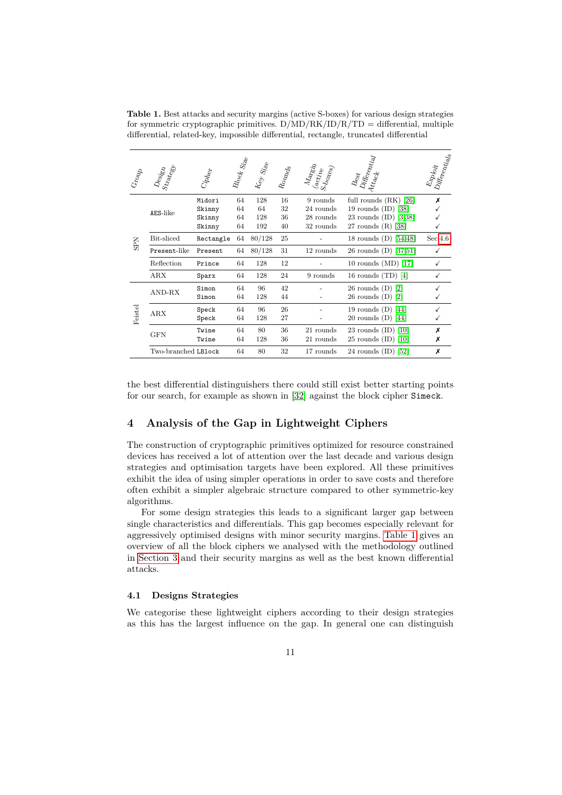<span id="page-10-1"></span>**Table 1.** Best attacks and security margins (active S-boxes) for various design strategies for symmetric cryptographic primitives.  $D/MD/RK/ID/R/TD =$  differential, multiple differential, related-key, impossible differential, rectangle, truncated differential

| Group      | $D_{\rm{e} s j_{\rm{S} T} }^{C_{\rm{S} j_{\rm{S} T} }}$ | $C_{\bm{i}\bm{p}\bm{l}_{\bm{e}\bm{q}\bm{r}}}$ | Block Size | Key Size  | $R_{\rm O}\eta_{\rm Q}$ | $\frac{M_{\hat{\bm{a}}_{\bm{r_{\mathcal{S}}_{\mathcal{U}}}}}}{S_{\bm{b}_{\bm{Q_{\mathcal{X}_{\mathcal{C}_{\mathcal{S}}}}}}}}$ | $\mathit{D}_{i\!f\!f\!e_{r\!e_{2l}t_{iql}}}$<br>$B_{\rm esf}$<br>$\displaystyle{{4t_{tq}}_{c}}$ | Differentials<br>Exploit |
|------------|---------------------------------------------------------|-----------------------------------------------|------------|-----------|-------------------------|-------------------------------------------------------------------------------------------------------------------------------|-------------------------------------------------------------------------------------------------|--------------------------|
|            |                                                         | Midori                                        | 64         | 128       | 16                      | 9 rounds                                                                                                                      | full rounds $(RK)$ [26]                                                                         | х                        |
|            | AES-like                                                | Skinny<br>Skinny                              | 64<br>64   | 64<br>128 | 32<br>36                | 24 rounds<br>28 rounds                                                                                                        | 19 rounds $(ID)$ [38]<br>23 rounds $(ID)$ [3,38]                                                |                          |
|            |                                                         | Skinny                                        | 64         | 192       | 40                      | 32 rounds                                                                                                                     | 27 rounds $(R)$ [38]                                                                            |                          |
| <b>SPN</b> | Bit-sliced                                              | Rectangle                                     | 64         | 80/128    | 25                      |                                                                                                                               | 18 rounds $(D)$ [54,48]                                                                         | Sec.4.6                  |
|            | Present-like                                            | Present                                       | 64         | 80/128    | 31                      | 12 rounds                                                                                                                     | 26 rounds $(D)$ [37,51]                                                                         | ✓                        |
|            | Reflection                                              | Prince                                        | 64         | 128       | 12                      |                                                                                                                               | 10 rounds $(MD)$ [17]                                                                           |                          |
|            | ARX                                                     | Sparx                                         | 64         | 128       | 24                      | 9 rounds                                                                                                                      | 16 rounds $(TD)$ [4]                                                                            |                          |
|            | AND-RX                                                  | Simon                                         | 64         | 96        | 42                      |                                                                                                                               | $26$ rounds $(D)$ [2]                                                                           |                          |
|            |                                                         | Simon                                         | 64         | 128       | 44                      |                                                                                                                               | $26$ rounds $(D)$ [2]                                                                           |                          |
|            | ARX                                                     | Speck                                         | 64         | 96        | 26                      |                                                                                                                               | 19 rounds $(D)$ [44]                                                                            |                          |
| Feistel    |                                                         | Speck                                         | 64         | 128       | 27                      |                                                                                                                               | 20 rounds $(D)$ [44]                                                                            |                          |
|            | <b>GFN</b>                                              | Twine                                         | 64         | 80        | 36                      | 21 rounds                                                                                                                     | 23 rounds $(ID)$ [10]                                                                           | х                        |
|            |                                                         | Twine                                         | 64         | 128       | 36                      | 21 rounds                                                                                                                     | $25$ rounds $(ID)$ [10]                                                                         | Х                        |
|            | Two-branched LBlock                                     |                                               | 64         | 80        | 32                      | 17 rounds                                                                                                                     | 24 rounds $(ID)$ [52]                                                                           | х                        |

the best differential distinguishers there could still exist better starting points for our search, for example as shown in [\[32\]](#page-23-9) against the block cipher Simeck.

### <span id="page-10-0"></span>**4 Analysis of the Gap in Lightweight Ciphers**

The construction of cryptographic primitives optimized for resource constrained devices has received a lot of attention over the last decade and various design strategies and optimisation targets have been explored. All these primitives exhibit the idea of using simpler operations in order to save costs and therefore often exhibit a simpler algebraic structure compared to other symmetric-key algorithms.

For some design strategies this leads to a significant larger gap between single characteristics and differentials. This gap becomes especially relevant for aggressively optimised designs with minor security margins. [Table 1](#page-10-1) gives an overview of all the block ciphers we analysed with the methodology outlined in [Section 3](#page-5-0) and their security margins as well as the best known differential attacks.

#### **4.1 Designs Strategies**

We categorise these lightweight ciphers according to their design strategies as this has the largest influence on the gap. In general one can distinguish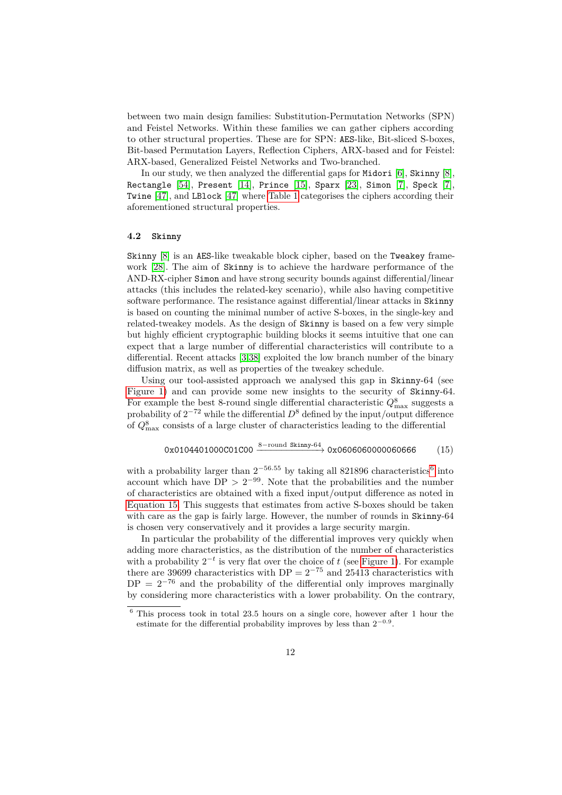between two main design families: Substitution-Permutation Networks (SPN) and Feistel Networks. Within these families we can gather ciphers according to other structural properties. These are for SPN: AES-like, Bit-sliced S-boxes, Bit-based Permutation Layers, Reflection Ciphers, ARX-based and for Feistel: ARX-based, Generalized Feistel Networks and Two-branched.

In our study, we then analyzed the differential gaps for Midori [\[6\]](#page-21-5), Skinny [\[8\]](#page-22-9), Rectangle [\[54\]](#page-25-0), Present [\[14\]](#page-22-10), Prince [\[15\]](#page-22-11), Sparx [\[23\]](#page-23-10), Simon [\[7\]](#page-21-6), Speck [\[7\]](#page-21-6), Twine [\[47\]](#page-24-12), and LBlock [\[47\]](#page-24-12) where [Table 1](#page-10-1) categorises the ciphers according their aforementioned structural properties.

#### **4.2 Skinny**

Skinny [\[8\]](#page-22-9) is an AES-like tweakable block cipher, based on the Tweakey framework [\[28\]](#page-23-11). The aim of Skinny is to achieve the hardware performance of the AND-RX-cipher Simon and have strong security bounds against differential/linear attacks (this includes the related-key scenario), while also having competitive software performance. The resistance against differential/linear attacks in Skinny is based on counting the minimal number of active S-boxes, in the single-key and related-tweakey models. As the design of Skinny is based on a few very simple but highly efficient cryptographic building blocks it seems intuitive that one can expect that a large number of differential characteristics will contribute to a differential. Recent attacks [\[3,](#page-21-2)[38\]](#page-24-8) exploited the low branch number of the binary diffusion matrix, as well as properties of the tweakey schedule.

Using our tool-assisted approach we analysed this gap in Skinny-64 (see [Figure 1\)](#page-12-0) and can provide some new insights to the security of Skinny-64. For example the best 8-round single differential characteristic  $Q_{\text{max}}^8$  suggests a probability of  $2^{-72}$  while the differential  $D^8$  defined by the input/output difference of  $Q_{\text{max}}^8$  consists of a large cluster of characteristics leading to the differential

<span id="page-11-1"></span>
$$
0x0104401000001000 \xrightarrow{8-\text{round Skinny-64}} 0x0606060000060666 \qquad (15)
$$

with a probability larger than  $2^{-56.55}$  $2^{-56.55}$  $2^{-56.55}$  by taking all 821896 characteristics<sup>6</sup> into account which have  $DP > 2^{-99}$ . Note that the probabilities and the number of characteristics are obtained with a fixed input/output difference as noted in [Equation 15.](#page-11-1) This suggests that estimates from active S-boxes should be taken with care as the gap is fairly large. However, the number of rounds in Skinny-64 is chosen very conservatively and it provides a large security margin.

In particular the probability of the differential improves very quickly when adding more characteristics, as the distribution of the number of characteristics with a probability  $2^{-t}$  is very flat over the choice of  $t$  (see [Figure 1\)](#page-12-0). For example there are 39699 characteristics with DP =  $2^{-75}$  and 25413 characteristics with  $DP = 2^{-76}$  and the probability of the differential only improves marginally by considering more characteristics with a lower probability. On the contrary,

<span id="page-11-0"></span><sup>6</sup> This process took in total 23*.*5 hours on a single core, however after 1 hour the estimate for the differential probability improves by less than  $2^{-0.9}$ .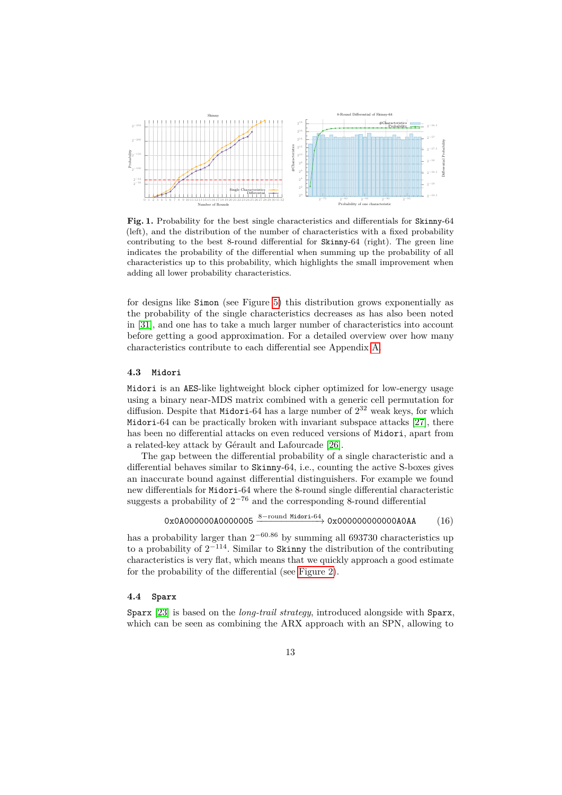

<span id="page-12-0"></span>**Fig. 1.** Probability for the best single characteristics and differentials for Skinny-64 (left), and the distribution of the number of characteristics with a fixed probability contributing to the best 8-round differential for Skinny-64 (right). The green line indicates the probability of the differential when summing up the probability of all characteristics up to this probability, which highlights the small improvement when adding all lower probability characteristics.

for designs like Simon (see Figure [5\)](#page-16-0) this distribution grows exponentially as the probability of the single characteristics decreases as has also been noted in [\[31\]](#page-23-4), and one has to take a much larger number of characteristics into account before getting a good approximation. For a detailed overview over how many characteristics contribute to each differential see Appendix [A.](#page-25-5)

#### **4.3 Midori**

Midori is an AES-like lightweight block cipher optimized for low-energy usage using a binary near-MDS matrix combined with a generic cell permutation for diffusion. Despite that Midori-64 has a large number of  $2^{32}$  weak keys, for which Midori-64 can be practically broken with invariant subspace attacks [\[27\]](#page-23-12), there has been no differential attacks on even reduced versions of Midori, apart from a related-key attack by Gérault and Lafourcade [\[26\]](#page-23-8).

The gap between the differential probability of a single characteristic and a differential behaves similar to Skinny-64, i.e., counting the active S-boxes gives an inaccurate bound against differential distinguishers. For example we found new differentials for Midori-64 where the 8-round single differential characteristic suggests a probability of  $2^{-76}$  and the corresponding 8-round differential

$$
0x0A0000000A0000005 \xrightarrow{8-round Midori-64} 0x00000000000000AA
$$
 (16)

has a probability larger than  $2^{-60.86}$  by summing all 693730 characteristics up to a probability of  $2^{-114}$ . Similar to Skinny the distribution of the contributing characteristics is very flat, which means that we quickly approach a good estimate for the probability of the differential (see [Figure 2\)](#page-13-0).

#### **4.4 Sparx**

Sparx [\[23\]](#page-23-10) is based on the *long-trail strategy*, introduced alongside with Sparx, which can be seen as combining the ARX approach with an SPN, allowing to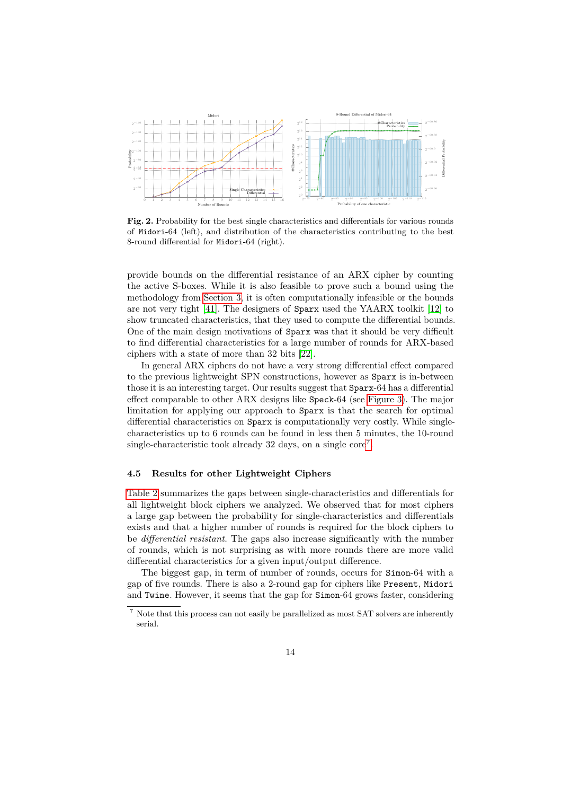

<span id="page-13-0"></span>Fig. 2. Probability for the best single characteristics and differentials for various rounds of Midori-64 (left), and distribution of the characteristics contributing to the best 8-round differential for Midori-64 (right).

provide bounds on the differential resistance of an ARX cipher by counting the active S-boxes. While it is also feasible to prove such a bound using the methodology from [Section 3,](#page-5-0) it is often computationally infeasible or the bounds are not very tight [\[41\]](#page-24-0). The designers of Sparx used the YAARX toolkit [\[12\]](#page-22-7) to show truncated characteristics, that they used to compute the differential bounds. One of the main design motivations of Sparx was that it should be very difficult to find differential characteristics for a large number of rounds for ARX-based ciphers with a state of more than 32 bits [\[22\]](#page-23-13).

In general ARX ciphers do not have a very strong differential effect compared to the previous lightweight SPN constructions, however as Sparx is in-between those it is an interesting target. Our results suggest that Sparx-64 has a differential effect comparable to other ARX designs like Speck-64 (see [Figure 3\)](#page-14-0). The major limitation for applying our approach to Sparx is that the search for optimal differential characteristics on Sparx is computationally very costly. While singlecharacteristics up to 6 rounds can be found in less then 5 minutes, the 10-round single-characteristic took already 32 days, on a single core<sup>[7](#page-13-1)</sup>.

#### **4.5 Results for other Lightweight Ciphers**

[Table 2](#page-14-1) summarizes the gaps between single-characteristics and differentials for all lightweight block ciphers we analyzed. We observed that for most ciphers a large gap between the probability for single-characteristics and differentials exists and that a higher number of rounds is required for the block ciphers to be *differential resistant*. The gaps also increase significantly with the number of rounds, which is not surprising as with more rounds there are more valid differential characteristics for a given input/output difference.

The biggest gap, in term of number of rounds, occurs for Simon-64 with a gap of five rounds. There is also a 2-round gap for ciphers like Present, Midori and Twine. However, it seems that the gap for Simon-64 grows faster, considering

<span id="page-13-1"></span><sup>7</sup> Note that this process can not easily be parallelized as most SAT solvers are inherently serial.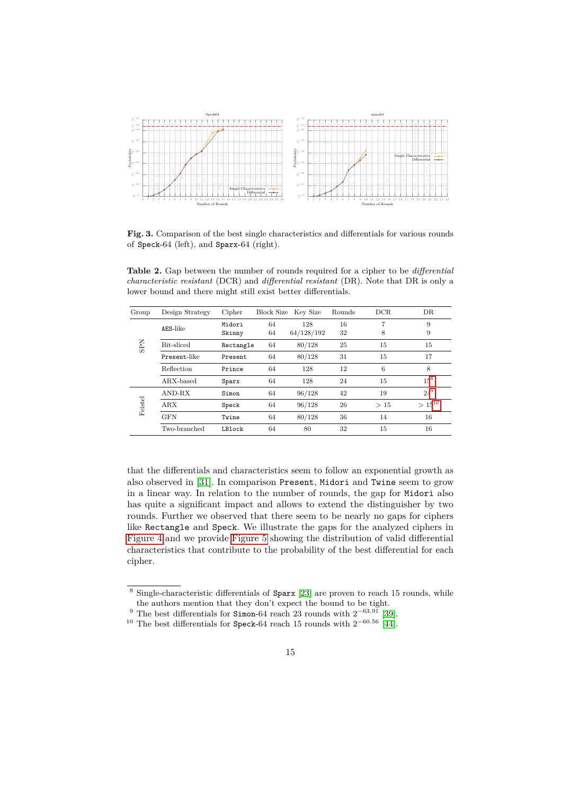

<span id="page-14-0"></span>Fig. 3. Comparison of the best single characteristics and differentials for various rounds of Speck-64 (left), and Sparx-64 (right).

<span id="page-14-1"></span>**Table 2.** Gap between the number of rounds required for a cipher to be *differential characteristic resistant* (DCR) and *differential resistant* (DR). Note that DR is only a lower bound and there might still exist better differentials.

| Group      | Design Strategy | Cipher           | Block Size | Key Size          | Rounds   | DCR.   | DR          |
|------------|-----------------|------------------|------------|-------------------|----------|--------|-------------|
|            | AES-like        | Midori<br>Skinny | 64<br>64   | 128<br>64/128/192 | 16<br>32 | 7<br>8 | 9<br>9      |
| <b>SPN</b> | Bit-sliced      | Rectangle        | 64         | 80/128            | 25       | 15     | 15          |
|            | Present-like    | Present          | 64         | 80/128            | 31       | 15     | 17          |
|            | Reflection      | Prince           | 64         | 128               | 12       | 6      | 8           |
|            | ARX-based       | Sparx            | 64         | 128               | 24       | 15     | $15^{8}$    |
|            | AND-RX          | Simon            | 64         | 96/128            | 42       | 19     | $24^{9}$    |
| Feistel    | <b>ARX</b>      | Speck            | 64         | 96/128            | 26       | >15    | $> 15^{10}$ |
|            | <b>GFN</b>      | Twine            | 64         | 80/128            | 36       | 14     | 16          |
|            | Two-branched    | LBlock           | 64         | 80                | 32       | 15     | 16          |

that the differentials and characteristics seem to follow an exponential growth as also observed in [\[31\]](#page-23-4). In comparison Present, Midori and Twine seem to grow in a linear way. In relation to the number of rounds, the gap for Midori also has quite a significant impact and allows to extend the distinguisher by two rounds. Further we observed that there seem to be nearly no gaps for ciphers like Rectangle and Speck. We illustrate the gaps for the analyzed ciphers in [Figure 4](#page-15-0) and we provide [Figure 5](#page-16-0) showing the distribution of valid differential characteristics that contribute to the probability of the best differential for each cipher.

<span id="page-14-2"></span> $8$  Single-characteristic differentials of Sparx [\[23\]](#page-23-10) are proven to reach 15 rounds, while the authors mention that they don't expect the bound to be tight.

<sup>&</sup>lt;sup>9</sup> The best differentials for Simon-64 reach 23 rounds with  $2^{-63.91}$  [\[39\]](#page-24-13).

<sup>&</sup>lt;sup>10</sup> The best differentials for Speck-64 reach 15 rounds with  $2^{-60.56}$  [\[44\]](#page-24-11).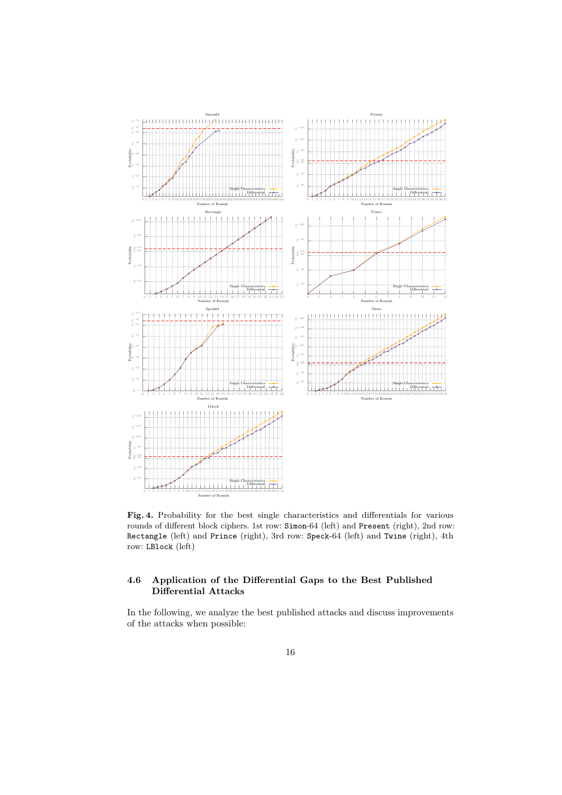

<span id="page-15-0"></span>**Fig. 4.** Probability for the best single characteristics and differentials for various rounds of different block ciphers. 1st row: Simon-64 (left) and Present (right), 2nd row: Rectangle (left) and Prince (right), 3rd row: Speck-64 (left) and Twine (right), 4th row: LBlock (left)

### **4.6 Application of the Differential Gaps to the Best Published Differential Attacks**

In the following, we analyze the best published attacks and discuss improvements of the attacks when possible: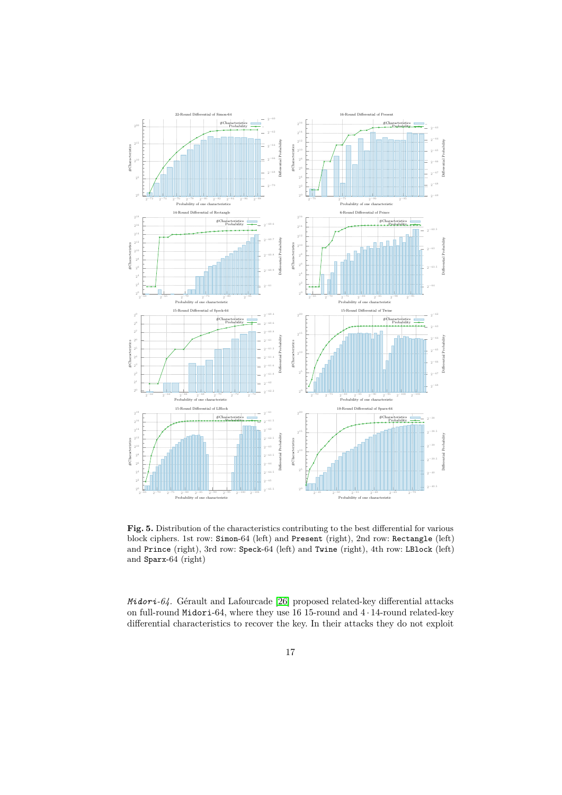

<span id="page-16-0"></span>**Fig. 5.** Distribution of the characteristics contributing to the best differential for various block ciphers. 1st row: Simon-64 (left) and Present (right), 2nd row: Rectangle (left) and Prince (right), 3rd row: Speck-64 (left) and Twine (right), 4th row: LBlock (left) and Sparx-64 (right)

*Midori-64.* Gérault and Lafourcade [\[26\]](#page-23-8) proposed related-key differential attacks on full-round Midori-64, where they use 16 15-round and  $4 \cdot 14$ -round related-key differential characteristics to recover the key. In their attacks they do not exploit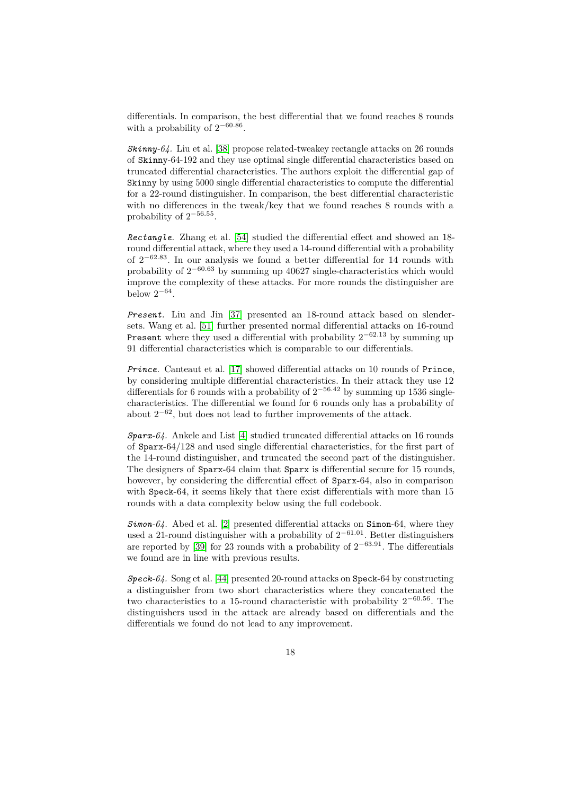differentials. In comparison, the best differential that we found reaches 8 rounds with a probability of  $2^{-60.86}$ .

*Skinny-64.* Liu et al. [\[38\]](#page-24-8) propose related-tweakey rectangle attacks on 26 rounds of Skinny-64-192 and they use optimal single differential characteristics based on truncated differential characteristics. The authors exploit the differential gap of Skinny by using 5000 single differential characteristics to compute the differential for a 22-round distinguisher. In comparison, the best differential characteristic with no differences in the tweak/key that we found reaches 8 rounds with a probability of 2 −56*.*55 .

<span id="page-17-0"></span>*Rectangle.* Zhang et al. [\[54\]](#page-25-0) studied the differential effect and showed an 18 round differential attack, where they used a 14-round differential with a probability of 2 <sup>−</sup>62*.*<sup>83</sup>. In our analysis we found a better differential for 14 rounds with probability of  $2^{-60.63}$  by summing up 40627 single-characteristics which would improve the complexity of these attacks. For more rounds the distinguisher are below  $2^{-64}$ .

*Present.* Liu and Jin [\[37\]](#page-24-10) presented an 18-round attack based on slendersets. Wang et al. [\[51\]](#page-25-3) further presented normal differential attacks on 16-round Present where they used a differential with probability 2 <sup>−</sup>62*.*<sup>13</sup> by summing up 91 differential characteristics which is comparable to our differentials.

*Prince.* Canteaut et al. [\[17\]](#page-22-8) showed differential attacks on 10 rounds of Prince, by considering multiple differential characteristics. In their attack they use 12 differentials for 6 rounds with a probability of  $2^{-56.42}$  by summing up 1536 singlecharacteristics. The differential we found for 6 rounds only has a probability of about  $2^{-62}$ , but does not lead to further improvements of the attack.

*Sparx-64.* Ankele and List [\[4\]](#page-21-3) studied truncated differential attacks on 16 rounds of Sparx-64/128 and used single differential characteristics, for the first part of the 14-round distinguisher, and truncated the second part of the distinguisher. The designers of Sparx-64 claim that Sparx is differential secure for 15 rounds, however, by considering the differential effect of Sparx-64, also in comparison with Speck-64, it seems likely that there exist differentials with more than 15 rounds with a data complexity below using the full codebook.

*Simon-64.* Abed et al. [\[2\]](#page-21-4) presented differential attacks on Simon-64, where they used a 21-round distinguisher with a probability of  $2^{-61.01}$ . Better distinguishers are reported by [\[39\]](#page-24-13) for 23 rounds with a probability of 2 <sup>−</sup>63*.*<sup>91</sup>. The differentials we found are in line with previous results.

*Speck-64.* Song et al. [\[44\]](#page-24-11) presented 20-round attacks on Speck-64 by constructing a distinguisher from two short characteristics where they concatenated the two characteristics to a 15-round characteristic with probability 2 <sup>−</sup>60*.*<sup>56</sup>. The distinguishers used in the attack are already based on differentials and the differentials we found do not lead to any improvement.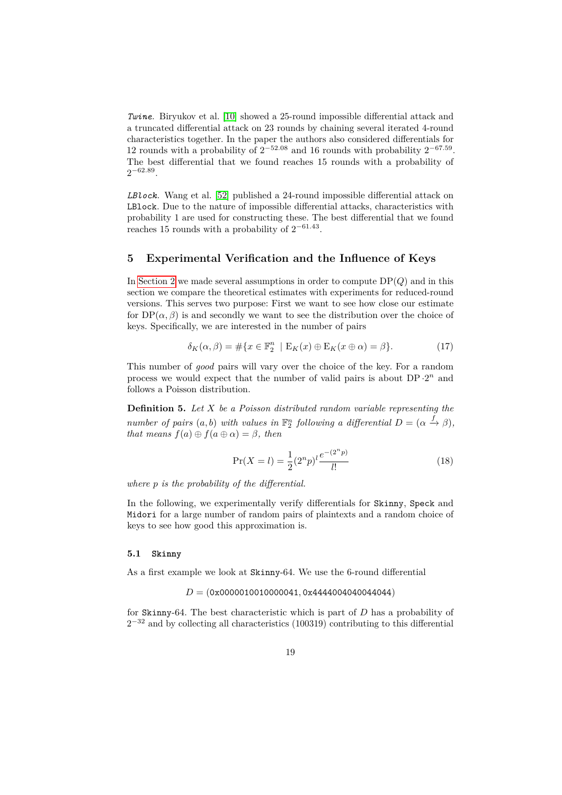*Twine.* Biryukov et al. [\[10\]](#page-22-1) showed a 25-round impossible differential attack and a truncated differential attack on 23 rounds by chaining several iterated 4-round characteristics together. In the paper the authors also considered differentials for 12 rounds with a probability of  $2^{-52.08}$  and 16 rounds with probability  $2^{-67.59}$ . The best differential that we found reaches 15 rounds with a probability of  $2^{-62.89}$ .

*LBlock.* Wang et al. [\[52\]](#page-25-4) published a 24-round impossible differential attack on LBlock. Due to the nature of impossible differential attacks, characteristics with probability 1 are used for constructing these. The best differential that we found reaches 15 rounds with a probability of  $2^{-61.43}$ .

### <span id="page-18-0"></span>**5 Experimental Verification and the Influence of Keys**

In [Section 2](#page-3-0) we made several assumptions in order to compute  $DP(Q)$  and in this section we compare the theoretical estimates with experiments for reduced-round versions. This serves two purpose: First we want to see how close our estimate for  $DP(\alpha, \beta)$  is and secondly we want to see the distribution over the choice of keys. Specifically, we are interested in the number of pairs

$$
\delta_K(\alpha, \beta) = \# \{ x \in \mathbb{F}_2^n \mid E_K(x) \oplus E_K(x \oplus \alpha) = \beta \}. \tag{17}
$$

This number of *good* pairs will vary over the choice of the key. For a random process we would expect that the number of valid pairs is about  $DP \cdot 2^n$  and follows a Poisson distribution.

**Definition 5.** *Let X be a Poisson distributed random variable representing the number of pairs*  $(a, b)$  *with values in*  $\mathbb{F}_2^n$  *following a differential*  $D = (\alpha \overset{f}{\rightarrow} \beta)$ *, that means*  $f(a) \oplus f(a \oplus \alpha) = \beta$ *, then* 

$$
\Pr(X = l) = \frac{1}{2} (2^n p)^l \frac{e^{-(2^n p)}}{l!}
$$
\n(18)

*where p is the probability of the differential.*

In the following, we experimentally verify differentials for Skinny, Speck and Midori for a large number of random pairs of plaintexts and a random choice of keys to see how good this approximation is.

### **5.1 Skinny**

As a first example we look at Skinny-64. We use the 6-round differential

#### *D* = (0x0000010010000041*,* 0x4444004040044044)

for Skinny-64. The best characteristic which is part of *D* has a probability of 2<sup>-32</sup> and by collecting all characteristics (100319) contributing to this differential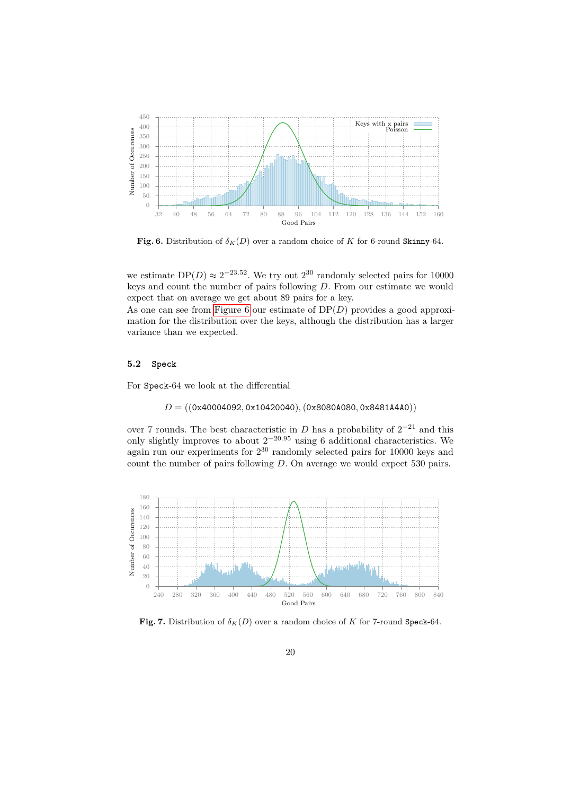

<span id="page-19-0"></span>**Fig. 6.** Distribution of  $\delta_K(D)$  over a random choice of *K* for 6-round Skinny-64.

we estimate  $DP(D) \approx 2^{-23.52}$ . We try out  $2^{30}$  randomly selected pairs for 10000 keys and count the number of pairs following *D*. From our estimate we would expect that on average we get about 89 pairs for a key.

As one can see from [Figure 6](#page-19-0) our estimate of DP(*D*) provides a good approximation for the distribution over the keys, although the distribution has a larger variance than we expected.

#### **5.2 Speck**

For Speck-64 we look at the differential

*D* = ((0x40004092*,* 0x10420040)*,*(0x8080A080*,* 0x8481A4A0))

over 7 rounds. The best characteristic in  $D$  has a probability of  $2^{-21}$  and this only slightly improves to about  $2^{-20.95}$  using 6 additional characteristics. We again run our experiments for  $2^{30}$  randomly selected pairs for 10000 keys and count the number of pairs following *D*. On average we would expect 530 pairs.



<span id="page-19-1"></span>**Fig. 7.** Distribution of  $\delta_K(D)$  over a random choice of *K* for 7-round Speck-64.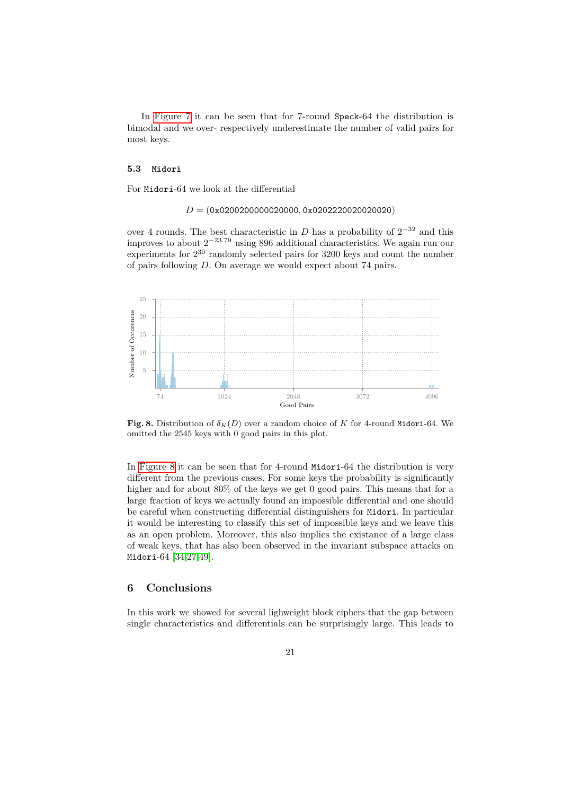In [Figure 7](#page-19-1) it can be seen that for 7-round Speck-64 the distribution is bimodal and we over- respectively underestimate the number of valid pairs for most keys.

#### **5.3 Midori**

For Midori-64 we look at the differential

*D* = (0x0200200000020000*,* 0x0202220020020020)

over 4 rounds. The best characteristic in  $D$  has a probability of  $2^{-32}$  and this improves to about 2 <sup>−</sup>23*.*<sup>79</sup> using 896 additional characteristics. We again run our experiments for  $2^{30}$  randomly selected pairs for 3200 keys and count the number of pairs following *D*. On average we would expect about 74 pairs.



<span id="page-20-0"></span>**Fig. 8.** Distribution of  $\delta_K(D)$  over a random choice of K for 4-round Midori-64. We omitted the 2545 keys with 0 good pairs in this plot.

In [Figure 8](#page-20-0) it can be seen that for 4-round Midori-64 the distribution is very different from the previous cases. For some keys the probability is significantly higher and for about 80% of the keys we get 0 good pairs. This means that for a large fraction of keys we actually found an impossible differential and one should be careful when constructing differential distinguishers for Midori. In particular it would be interesting to classify this set of impossible keys and we leave this as an open problem. Moreover, this also implies the existance of a large class of weak keys, that has also been observed in the invariant subspace attacks on Midori-64 [\[34](#page-23-14)[,27](#page-23-12)[,49\]](#page-24-14).

### **6 Conclusions**

In this work we showed for several lighweight block ciphers that the gap between single characteristics and differentials can be surprisingly large. This leads to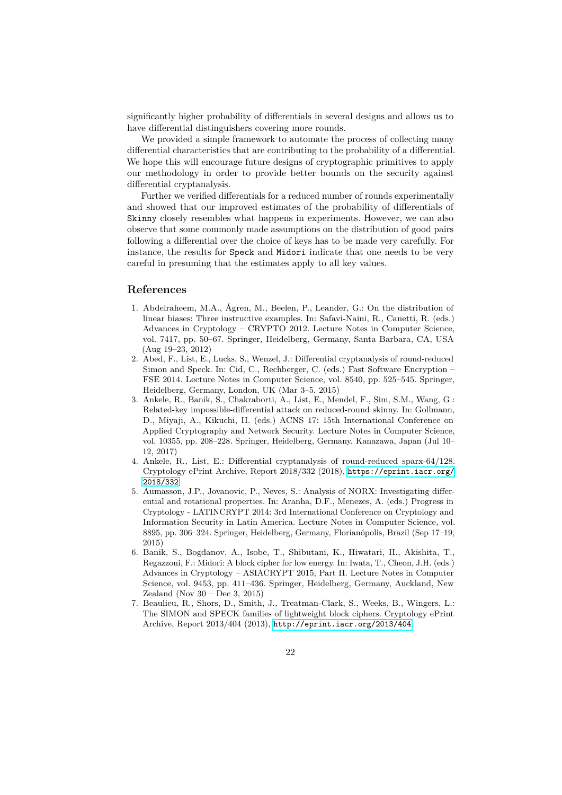significantly higher probability of differentials in several designs and allows us to have differential distinguishers covering more rounds.

We provided a simple framework to automate the process of collecting many differential characteristics that are contributing to the probability of a differential. We hope this will encourage future designs of cryptographic primitives to apply our methodology in order to provide better bounds on the security against differential cryptanalysis.

Further we verified differentials for a reduced number of rounds experimentally and showed that our improved estimates of the probability of differentials of Skinny closely resembles what happens in experiments. However, we can also observe that some commonly made assumptions on the distribution of good pairs following a differential over the choice of keys has to be made very carefully. For instance, the results for Speck and Midori indicate that one needs to be very careful in presuming that the estimates apply to all key values.

### **References**

- <span id="page-21-1"></span>1. Abdelraheem, M.A., Ågren, M., Beelen, P., Leander, G.: On the distribution of linear biases: Three instructive examples. In: Safavi-Naini, R., Canetti, R. (eds.) Advances in Cryptology – CRYPTO 2012. Lecture Notes in Computer Science, vol. 7417, pp. 50–67. Springer, Heidelberg, Germany, Santa Barbara, CA, USA (Aug 19–23, 2012)
- <span id="page-21-4"></span>2. Abed, F., List, E., Lucks, S., Wenzel, J.: Differential cryptanalysis of round-reduced Simon and Speck. In: Cid, C., Rechberger, C. (eds.) Fast Software Encryption – FSE 2014. Lecture Notes in Computer Science, vol. 8540, pp. 525–545. Springer, Heidelberg, Germany, London, UK (Mar 3–5, 2015)
- <span id="page-21-2"></span>3. Ankele, R., Banik, S., Chakraborti, A., List, E., Mendel, F., Sim, S.M., Wang, G.: Related-key impossible-differential attack on reduced-round skinny. In: Gollmann, D., Miyaji, A., Kikuchi, H. (eds.) ACNS 17: 15th International Conference on Applied Cryptography and Network Security. Lecture Notes in Computer Science, vol. 10355, pp. 208–228. Springer, Heidelberg, Germany, Kanazawa, Japan (Jul 10– 12, 2017)
- <span id="page-21-3"></span>4. Ankele, R., List, E.: Differential cryptanalysis of round-reduced sparx-64/128. Cryptology ePrint Archive, Report 2018/332 (2018), [https://eprint.iacr.org/](https://eprint.iacr.org/2018/332) [2018/332](https://eprint.iacr.org/2018/332)
- <span id="page-21-0"></span>5. Aumasson, J.P., Jovanovic, P., Neves, S.: Analysis of NORX: Investigating differential and rotational properties. In: Aranha, D.F., Menezes, A. (eds.) Progress in Cryptology - LATINCRYPT 2014: 3rd International Conference on Cryptology and Information Security in Latin America. Lecture Notes in Computer Science, vol. 8895, pp. 306–324. Springer, Heidelberg, Germany, Florianópolis, Brazil (Sep 17–19, 2015)
- <span id="page-21-5"></span>6. Banik, S., Bogdanov, A., Isobe, T., Shibutani, K., Hiwatari, H., Akishita, T., Regazzoni, F.: Midori: A block cipher for low energy. In: Iwata, T., Cheon, J.H. (eds.) Advances in Cryptology – ASIACRYPT 2015, Part II. Lecture Notes in Computer Science, vol. 9453, pp. 411–436. Springer, Heidelberg, Germany, Auckland, New Zealand (Nov  $30 - Dec 3, 2015$ )
- <span id="page-21-6"></span>7. Beaulieu, R., Shors, D., Smith, J., Treatman-Clark, S., Weeks, B., Wingers, L.: The SIMON and SPECK families of lightweight block ciphers. Cryptology ePrint Archive, Report 2013/404 (2013), <http://eprint.iacr.org/2013/404>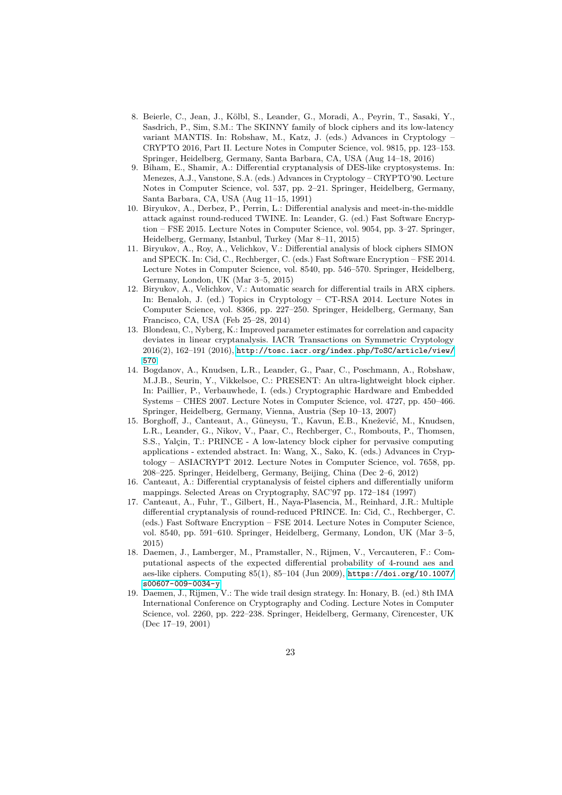- <span id="page-22-9"></span>8. Beierle, C., Jean, J., Kölbl, S., Leander, G., Moradi, A., Peyrin, T., Sasaki, Y., Sasdrich, P., Sim, S.M.: The SKINNY family of block ciphers and its low-latency variant MANTIS. In: Robshaw, M., Katz, J. (eds.) Advances in Cryptology – CRYPTO 2016, Part II. Lecture Notes in Computer Science, vol. 9815, pp. 123–153. Springer, Heidelberg, Germany, Santa Barbara, CA, USA (Aug 14–18, 2016)
- <span id="page-22-0"></span>9. Biham, E., Shamir, A.: Differential cryptanalysis of DES-like cryptosystems. In: Menezes, A.J., Vanstone, S.A. (eds.) Advances in Cryptology – CRYPTO'90. Lecture Notes in Computer Science, vol. 537, pp. 2–21. Springer, Heidelberg, Germany, Santa Barbara, CA, USA (Aug 11–15, 1991)
- <span id="page-22-1"></span>10. Biryukov, A., Derbez, P., Perrin, L.: Differential analysis and meet-in-the-middle attack against round-reduced TWINE. In: Leander, G. (ed.) Fast Software Encryption – FSE 2015. Lecture Notes in Computer Science, vol. 9054, pp. 3–27. Springer, Heidelberg, Germany, Istanbul, Turkey (Mar 8–11, 2015)
- <span id="page-22-3"></span>11. Biryukov, A., Roy, A., Velichkov, V.: Differential analysis of block ciphers SIMON and SPECK. In: Cid, C., Rechberger, C. (eds.) Fast Software Encryption – FSE 2014. Lecture Notes in Computer Science, vol. 8540, pp. 546–570. Springer, Heidelberg, Germany, London, UK (Mar 3–5, 2015)
- <span id="page-22-7"></span>12. Biryukov, A., Velichkov, V.: Automatic search for differential trails in ARX ciphers. In: Benaloh, J. (ed.) Topics in Cryptology – CT-RSA 2014. Lecture Notes in Computer Science, vol. 8366, pp. 227–250. Springer, Heidelberg, Germany, San Francisco, CA, USA (Feb 25–28, 2014)
- <span id="page-22-4"></span>13. Blondeau, C., Nyberg, K.: Improved parameter estimates for correlation and capacity deviates in linear cryptanalysis. IACR Transactions on Symmetric Cryptology 2016(2), 162–191 (2016), [http://tosc.iacr.org/index.php/ToSC/article/view/](http://tosc.iacr.org/index.php/ToSC/article/view/570) [570](http://tosc.iacr.org/index.php/ToSC/article/view/570)
- <span id="page-22-10"></span>14. Bogdanov, A., Knudsen, L.R., Leander, G., Paar, C., Poschmann, A., Robshaw, M.J.B., Seurin, Y., Vikkelsoe, C.: PRESENT: An ultra-lightweight block cipher. In: Paillier, P., Verbauwhede, I. (eds.) Cryptographic Hardware and Embedded Systems – CHES 2007. Lecture Notes in Computer Science, vol. 4727, pp. 450–466. Springer, Heidelberg, Germany, Vienna, Austria (Sep 10–13, 2007)
- <span id="page-22-11"></span>15. Borghoff, J., Canteaut, A., Güneysu, T., Kavun, E.B., Knežević, M., Knudsen, L.R., Leander, G., Nikov, V., Paar, C., Rechberger, C., Rombouts, P., Thomsen, S.S., Yalçin, T.: PRINCE - A low-latency block cipher for pervasive computing applications - extended abstract. In: Wang, X., Sako, K. (eds.) Advances in Cryptology – ASIACRYPT 2012. Lecture Notes in Computer Science, vol. 7658, pp. 208–225. Springer, Heidelberg, Germany, Beijing, China (Dec 2–6, 2012)
- <span id="page-22-6"></span>16. Canteaut, A.: Differential cryptanalysis of feistel ciphers and differentially uniform mappings. Selected Areas on Cryptography, SAC'97 pp. 172–184 (1997)
- <span id="page-22-8"></span>17. Canteaut, A., Fuhr, T., Gilbert, H., Naya-Plasencia, M., Reinhard, J.R.: Multiple differential cryptanalysis of round-reduced PRINCE. In: Cid, C., Rechberger, C. (eds.) Fast Software Encryption – FSE 2014. Lecture Notes in Computer Science, vol. 8540, pp. 591–610. Springer, Heidelberg, Germany, London, UK (Mar 3–5, 2015)
- <span id="page-22-2"></span>18. Daemen, J., Lamberger, M., Pramstaller, N., Rijmen, V., Vercauteren, F.: Computational aspects of the expected differential probability of 4-round aes and aes-like ciphers. Computing 85(1), 85–104 (Jun 2009), [https://doi.org/10.1007/](https://doi.org/10.1007/s00607-009-0034-y) [s00607-009-0034-y](https://doi.org/10.1007/s00607-009-0034-y)
- <span id="page-22-5"></span>19. Daemen, J., Rijmen, V.: The wide trail design strategy. In: Honary, B. (ed.) 8th IMA International Conference on Cryptography and Coding. Lecture Notes in Computer Science, vol. 2260, pp. 222–238. Springer, Heidelberg, Germany, Cirencester, UK (Dec 17–19, 2001)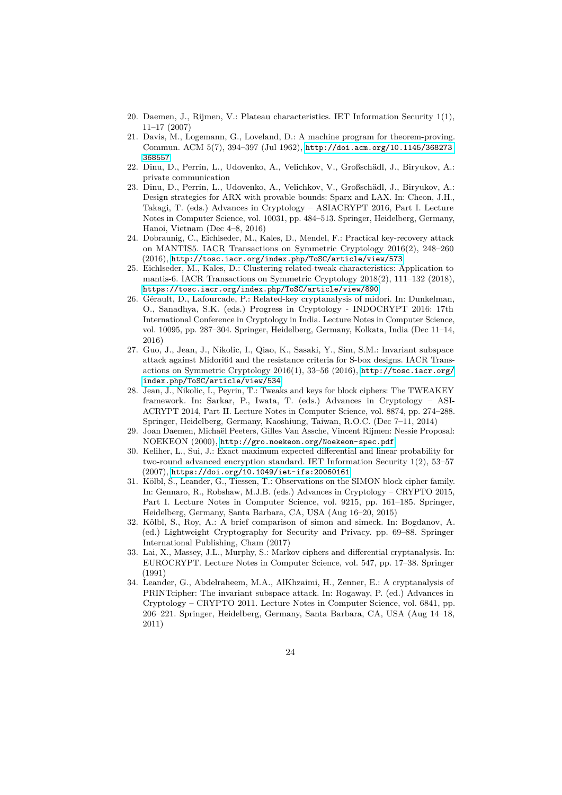- <span id="page-23-2"></span>20. Daemen, J., Rijmen, V.: Plateau characteristics. IET Information Security 1(1), 11–17 (2007)
- <span id="page-23-7"></span>21. Davis, M., Logemann, G., Loveland, D.: A machine program for theorem-proving. Commun. ACM 5(7), 394–397 (Jul 1962), [http://doi.acm.org/10.1145/368273.](http://doi.acm.org/10.1145/368273.368557) [368557](http://doi.acm.org/10.1145/368273.368557)
- <span id="page-23-13"></span>22. Dinu, D., Perrin, L., Udovenko, A., Velichkov, V., Großschädl, J., Biryukov, A.: private communication
- <span id="page-23-10"></span>23. Dinu, D., Perrin, L., Udovenko, A., Velichkov, V., Großschädl, J., Biryukov, A.: Design strategies for ARX with provable bounds: Sparx and LAX. In: Cheon, J.H., Takagi, T. (eds.) Advances in Cryptology – ASIACRYPT 2016, Part I. Lecture Notes in Computer Science, vol. 10031, pp. 484–513. Springer, Heidelberg, Germany, Hanoi, Vietnam (Dec 4–8, 2016)
- <span id="page-23-0"></span>24. Dobraunig, C., Eichlseder, M., Kales, D., Mendel, F.: Practical key-recovery attack on MANTIS5. IACR Transactions on Symmetric Cryptology 2016(2), 248–260 (2016), <http://tosc.iacr.org/index.php/ToSC/article/view/573>
- <span id="page-23-6"></span>25. Eichlseder, M., Kales, D.: Clustering related-tweak characteristics: Application to mantis-6. IACR Transactions on Symmetric Cryptology 2018(2), 111–132 (2018), <https://tosc.iacr.org/index.php/ToSC/article/view/890>
- <span id="page-23-8"></span>26. Gérault, D., Lafourcade, P.: Related-key cryptanalysis of midori. In: Dunkelman, O., Sanadhya, S.K. (eds.) Progress in Cryptology - INDOCRYPT 2016: 17th International Conference in Cryptology in India. Lecture Notes in Computer Science, vol. 10095, pp. 287–304. Springer, Heidelberg, Germany, Kolkata, India (Dec 11–14, 2016)
- <span id="page-23-12"></span>27. Guo, J., Jean, J., Nikolic, I., Qiao, K., Sasaki, Y., Sim, S.M.: Invariant subspace attack against Midori64 and the resistance criteria for S-box designs. IACR Transactions on Symmetric Cryptology 2016(1), 33–56 (2016), [http://tosc.iacr.org/](http://tosc.iacr.org/index.php/ToSC/article/view/534) [index.php/ToSC/article/view/534](http://tosc.iacr.org/index.php/ToSC/article/view/534)
- <span id="page-23-11"></span>28. Jean, J., Nikolic, I., Peyrin, T.: Tweaks and keys for block ciphers: The TWEAKEY framework. In: Sarkar, P., Iwata, T. (eds.) Advances in Cryptology – ASI-ACRYPT 2014, Part II. Lecture Notes in Computer Science, vol. 8874, pp. 274–288. Springer, Heidelberg, Germany, Kaoshiung, Taiwan, R.O.C. (Dec 7–11, 2014)
- <span id="page-23-5"></span>29. Joan Daemen, Michaël Peeters, Gilles Van Assche, Vincent Rijmen: Nessie Proposal: NOEKEON (2000), <http://gro.noekeon.org/Noekeon-spec.pdf>
- <span id="page-23-3"></span>30. Keliher, L., Sui, J.: Exact maximum expected differential and linear probability for two-round advanced encryption standard. IET Information Security 1(2), 53–57 (2007), <https://doi.org/10.1049/iet-ifs:20060161>
- <span id="page-23-4"></span>31. Kölbl, S., Leander, G., Tiessen, T.: Observations on the SIMON block cipher family. In: Gennaro, R., Robshaw, M.J.B. (eds.) Advances in Cryptology – CRYPTO 2015, Part I. Lecture Notes in Computer Science, vol. 9215, pp. 161–185. Springer, Heidelberg, Germany, Santa Barbara, CA, USA (Aug 16–20, 2015)
- <span id="page-23-9"></span>32. Kölbl, S., Roy, A.: A brief comparison of simon and simeck. In: Bogdanov, A. (ed.) Lightweight Cryptography for Security and Privacy. pp. 69–88. Springer International Publishing, Cham (2017)
- <span id="page-23-1"></span>33. Lai, X., Massey, J.L., Murphy, S.: Markov ciphers and differential cryptanalysis. In: EUROCRYPT. Lecture Notes in Computer Science, vol. 547, pp. 17–38. Springer (1991)
- <span id="page-23-14"></span>34. Leander, G., Abdelraheem, M.A., AlKhzaimi, H., Zenner, E.: A cryptanalysis of PRINTcipher: The invariant subspace attack. In: Rogaway, P. (ed.) Advances in Cryptology – CRYPTO 2011. Lecture Notes in Computer Science, vol. 6841, pp. 206–221. Springer, Heidelberg, Germany, Santa Barbara, CA, USA (Aug 14–18, 2011)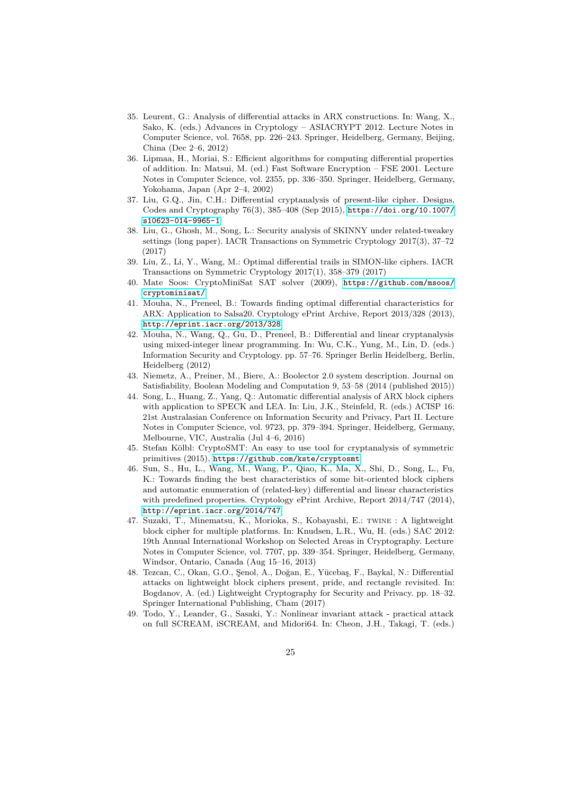- <span id="page-24-4"></span>35. Leurent, G.: Analysis of differential attacks in ARX constructions. In: Wang, X., Sako, K. (eds.) Advances in Cryptology – ASIACRYPT 2012. Lecture Notes in Computer Science, vol. 7658, pp. 226–243. Springer, Heidelberg, Germany, Beijing, China (Dec 2–6, 2012)
- <span id="page-24-7"></span>36. Lipmaa, H., Moriai, S.: Efficient algorithms for computing differential properties of addition. In: Matsui, M. (ed.) Fast Software Encryption – FSE 2001. Lecture Notes in Computer Science, vol. 2355, pp. 336–350. Springer, Heidelberg, Germany, Yokohama, Japan (Apr 2–4, 2002)
- <span id="page-24-10"></span>37. Liu, G.Q., Jin, C.H.: Differential cryptanalysis of present-like cipher. Designs, Codes and Cryptography 76(3), 385–408 (Sep 2015), [https://doi.org/10.1007/](https://doi.org/10.1007/s10623-014-9965-1) [s10623-014-9965-1](https://doi.org/10.1007/s10623-014-9965-1)
- <span id="page-24-8"></span>38. Liu, G., Ghosh, M., Song, L.: Security analysis of SKINNY under related-tweakey settings (long paper). IACR Transactions on Symmetric Cryptology 2017(3), 37–72 (2017)
- <span id="page-24-13"></span>39. Liu, Z., Li, Y., Wang, M.: Optimal differential trails in SIMON-like ciphers. IACR Transactions on Symmetric Cryptology 2017(1), 358–379 (2017)
- <span id="page-24-5"></span>40. Mate Soos: CryptoMiniSat SAT solver (2009), [https://github.com/msoos/](https://github.com/msoos/cryptominisat/) [cryptominisat/](https://github.com/msoos/cryptominisat/)
- <span id="page-24-0"></span>41. Mouha, N., Preneel, B.: Towards finding optimal differential characteristics for ARX: Application to Salsa20. Cryptology ePrint Archive, Report 2013/328 (2013), <http://eprint.iacr.org/2013/328>
- <span id="page-24-1"></span>42. Mouha, N., Wang, Q., Gu, D., Preneel, B.: Differential and linear cryptanalysis using mixed-integer linear programming. In: Wu, C.K., Yung, M., Lin, D. (eds.) Information Security and Cryptology. pp. 57–76. Springer Berlin Heidelberg, Berlin, Heidelberg (2012)
- <span id="page-24-6"></span>43. Niemetz, A., Preiner, M., Biere, A.: Boolector 2.0 system description. Journal on Satisfiability, Boolean Modeling and Computation 9, 53–58 (2014 (published 2015))
- <span id="page-24-11"></span>44. Song, L., Huang, Z., Yang, Q.: Automatic differential analysis of ARX block ciphers with application to SPECK and LEA. In: Liu, J.K., Steinfeld, R. (eds.) ACISP 16: 21st Australasian Conference on Information Security and Privacy, Part II. Lecture Notes in Computer Science, vol. 9723, pp. 379–394. Springer, Heidelberg, Germany, Melbourne, VIC, Australia (Jul 4–6, 2016)
- <span id="page-24-3"></span>45. Stefan Kölbl: CryptoSMT: An easy to use tool for cryptanalysis of symmetric primitives (2015), <https://github.com/kste/cryptosmt>
- <span id="page-24-2"></span>46. Sun, S., Hu, L., Wang, M., Wang, P., Qiao, K., Ma, X., Shi, D., Song, L., Fu, K.: Towards finding the best characteristics of some bit-oriented block ciphers and automatic enumeration of (related-key) differential and linear characteristics with predefined properties. Cryptology ePrint Archive, Report 2014/747 (2014), <http://eprint.iacr.org/2014/747>
- <span id="page-24-12"></span>47. Suzaki, T., Minematsu, K., Morioka, S., Kobayashi, E.: twine : A lightweight block cipher for multiple platforms. In: Knudsen, L.R., Wu, H. (eds.) SAC 2012: 19th Annual International Workshop on Selected Areas in Cryptography. Lecture Notes in Computer Science, vol. 7707, pp. 339–354. Springer, Heidelberg, Germany, Windsor, Ontario, Canada (Aug 15–16, 2013)
- <span id="page-24-9"></span>48. Tezcan, C., Okan, G.O., Şenol, A., Doğan, E., Yücebaş, F., Baykal, N.: Differential attacks on lightweight block ciphers present, pride, and rectangle revisited. In: Bogdanov, A. (ed.) Lightweight Cryptography for Security and Privacy. pp. 18–32. Springer International Publishing, Cham (2017)
- <span id="page-24-14"></span>49. Todo, Y., Leander, G., Sasaki, Y.: Nonlinear invariant attack - practical attack on full SCREAM, iSCREAM, and Midori64. In: Cheon, J.H., Takagi, T. (eds.)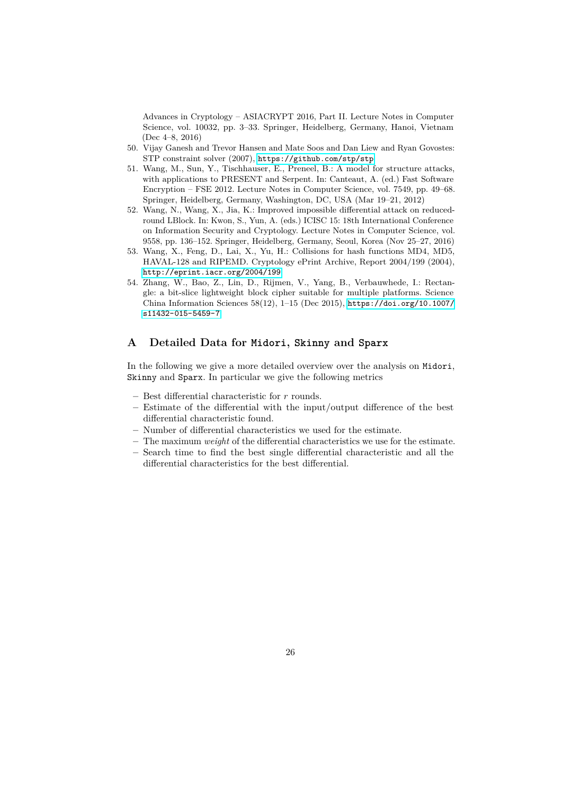Advances in Cryptology – ASIACRYPT 2016, Part II. Lecture Notes in Computer Science, vol. 10032, pp. 3–33. Springer, Heidelberg, Germany, Hanoi, Vietnam (Dec 4–8, 2016)

- <span id="page-25-2"></span>50. Vijay Ganesh and Trevor Hansen and Mate Soos and Dan Liew and Ryan Govostes: STP constraint solver (2007), <https://github.com/stp/stp>
- <span id="page-25-3"></span>51. Wang, M., Sun, Y., Tischhauser, E., Preneel, B.: A model for structure attacks, with applications to PRESENT and Serpent. In: Canteaut, A. (ed.) Fast Software Encryption – FSE 2012. Lecture Notes in Computer Science, vol. 7549, pp. 49–68. Springer, Heidelberg, Germany, Washington, DC, USA (Mar 19–21, 2012)
- <span id="page-25-4"></span>52. Wang, N., Wang, X., Jia, K.: Improved impossible differential attack on reducedround LBlock. In: Kwon, S., Yun, A. (eds.) ICISC 15: 18th International Conference on Information Security and Cryptology. Lecture Notes in Computer Science, vol. 9558, pp. 136–152. Springer, Heidelberg, Germany, Seoul, Korea (Nov 25–27, 2016)
- <span id="page-25-1"></span>53. Wang, X., Feng, D., Lai, X., Yu, H.: Collisions for hash functions MD4, MD5, HAVAL-128 and RIPEMD. Cryptology ePrint Archive, Report 2004/199 (2004), <http://eprint.iacr.org/2004/199>
- <span id="page-25-0"></span>54. Zhang, W., Bao, Z., Lin, D., Rijmen, V., Yang, B., Verbauwhede, I.: Rectangle: a bit-slice lightweight block cipher suitable for multiple platforms. Science China Information Sciences 58(12), 1–15 (Dec 2015), [https://doi.org/10.1007/](https://doi.org/10.1007/s11432-015-5459-7) [s11432-015-5459-7](https://doi.org/10.1007/s11432-015-5459-7)

### <span id="page-25-5"></span>**A Detailed Data for Midori, Skinny and Sparx**

In the following we give a more detailed overview over the analysis on Midori, Skinny and Sparx. In particular we give the following metrics

- **–** Best differential characteristic for *r* rounds.
- **–** Estimate of the differential with the input/output difference of the best differential characteristic found.
- **–** Number of differential characteristics we used for the estimate.
- **–** The maximum *weight* of the differential characteristics we use for the estimate.
- **–** Search time to find the best single differential characteristic and all the differential characteristics for the best differential.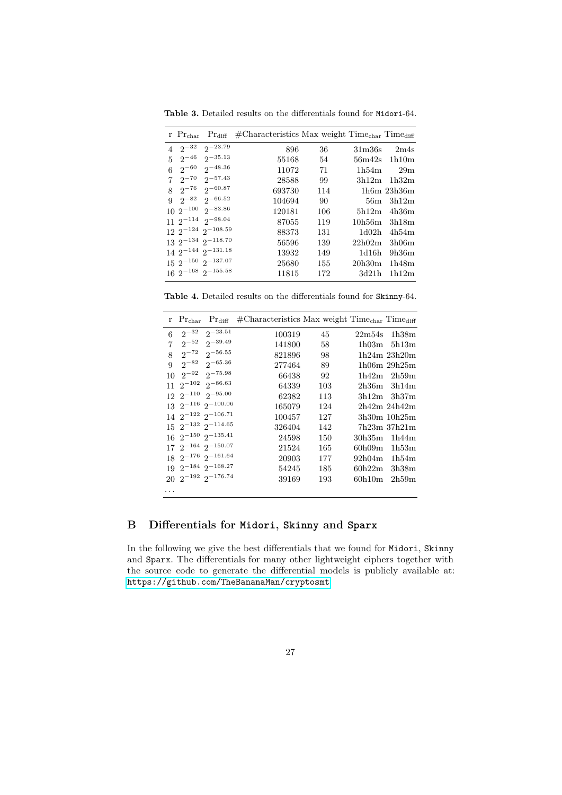**Table 3.** Detailed results on the differentials found for Midori-64.

| r $Prchar Prdiff$                        | $\#$ Characteristics Max weight Time <sub>char</sub> Time <sub>diff</sub> |     |                    |               |
|------------------------------------------|---------------------------------------------------------------------------|-----|--------------------|---------------|
| $4 \t2^{-32}$<br>$2^{-23.79}$            | 896                                                                       | 36  | 31 <sub>m36s</sub> | 2m4s          |
| $2^{-35.13}$<br>$2^{-46}$<br>$5^{\circ}$ | 55168                                                                     | 54  |                    | 56m42s 1h10m  |
| $2^{-48.36}$<br>$2^{-60}$<br>6           | 11072                                                                     | 71  | 1h54m              | 29m           |
| $2^{-57.43}$<br>$2^{-70}$<br>$7^{\circ}$ | 28588                                                                     | 99  |                    | $3h12m$ 1h32m |
| $8 \t2^{-76} \t2^{-60.87}$               | 693730                                                                    | 114 |                    | $1h6m$ 23h36m |
| $2^{-82}$ $2^{-66.52}$<br>Q              | 104694                                                                    | 90  | 56m                | 3h12m         |
| $10 \t2^{-100} \t2^{-83.86}$             | 120181                                                                    | 106 | 5h12m              | 4h36m         |
| $11.2^{-114}$ $2^{-98.04}$               | 87055                                                                     | 119 | 10h56m             | 3h18m         |
| $122^{-124}2^{-108.59}$                  | 88373                                                                     | 131 | 1d02h              | 4h54m         |
| $132^{-134}2^{-118.70}$                  | 56596                                                                     | 139 | 22h02m             | 3h06m         |
| $14\ 2^{-144}\ 2^{-131.18}$              | 13932                                                                     | 149 | 1d16h              | 9h36m         |
| $15\ 2^{-150}\ 2^{-137.07}$              | 25680                                                                     | 155 | 20h30m             | 1h48m         |
| $16\ 2^{-168}\ 2^{-155.58}$              | 11815                                                                     | 172 | 3d21h              | 1h12m         |

**Table 4.** Detailed results on the differentials found for Skinny-64.

| r.             | $Pr_{char}$ | $Pr_{diff}$                   | $\text{\#Characteristics Max weight Time}_{char}$ Time <sub>diff</sub> |     |        |                   |
|----------------|-------------|-------------------------------|------------------------------------------------------------------------|-----|--------|-------------------|
| 6              |             | $2^{-32}$ $2^{-23.51}$        | 100319                                                                 | 45  |        | $22m54s$ 1h38m    |
| $\overline{7}$ |             | $2^{-52}$ $2^{-39.49}$        | 141800                                                                 | 58  | 1h03m  | 5h13m             |
| 8              |             | $2^{-72}$ $2^{-56.55}$        | 821896                                                                 | 98  |        | $1h24m$ $23h20m$  |
| $\mathbf{Q}$   |             | $2^{-82}$ $2^{-65.36}$        | 277464                                                                 | 89  |        | $1h06m$ 29 $h25m$ |
| 10             |             | $2^{-92}$ $2^{-75.98}$        | 66438                                                                  | 92  |        | $1h42m$ $2h59m$   |
| 11             |             | $2^{-102}$ $2^{-86.63}$       | 64339                                                                  | 103 | 2h36m  | 3h14m             |
|                |             | $12 \t2^{-110} \t2^{-95.00}$  | 62382                                                                  | 113 |        | $3h12m$ $3h37m$   |
|                |             | $13 \t2^{-116} \t2^{-100.06}$ | 165079                                                                 | 124 |        | 2h42m 24h42m      |
|                |             | $14 \t2^{-122} \t2^{-106.71}$ | 100457                                                                 | 127 |        | $3h30m$ 10 $h25m$ |
|                |             | $15\ 2^{-132}\ 2^{-114.65}$   | 326404                                                                 | 142 |        | $7h23m$ 37h $21m$ |
|                |             | $16\ 2^{-150}\ 2^{-135.41}$   | 24598                                                                  | 150 | 30h35m | 1h44m             |
|                |             | $17\ 2^{-164}\ 2^{-150.07}$   | 21524                                                                  | 165 | 60h09m | 1h53m             |
|                |             | $18 \t2^{-176} \t2^{-161.64}$ | 20903                                                                  | 177 |        | $92h04m$ 1h54m    |
|                |             | $19\ 2^{-184}\ 2^{-168.27}$   | 54245                                                                  | 185 | 60h22m | 3h38m             |
|                |             | $20\ 2^{-192}\ 2^{-176.74}$   | 39169                                                                  | 193 | 60h10m | 2h59m             |
| .              |             |                               |                                                                        |     |        |                   |

## **B Differentials for Midori, Skinny and Sparx**

In the following we give the best differentials that we found for Midori, Skinny and Sparx. The differentials for many other lightweight ciphers together with the source code to generate the differential models is publicly available at: <https://github.com/TheBananaMan/cryptosmt>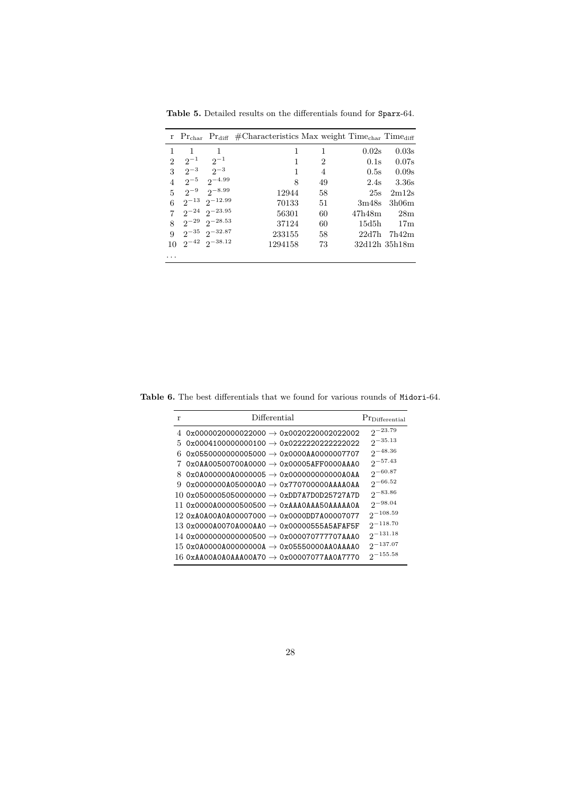|   |          |                             | r $Pr_{char}$ $Pr_{diff}$ #Characteristics Max weight Time <sub>char</sub> Time <sub>diff</sub> |    |        |               |
|---|----------|-----------------------------|-------------------------------------------------------------------------------------------------|----|--------|---------------|
|   | 1        | 1                           |                                                                                                 | 1  | 0.02s  | 0.03s         |
| 2 | $2^{-1}$ | $2^{-1}$                    |                                                                                                 | 2  | 0.1s   | 0.07s         |
| 3 |          | $2^{3}$ $2^{-3}$            |                                                                                                 | 4  | 0.5s   | 0.09s         |
| 4 | $2^{-5}$ | $2^{\sim 4.99}$             | 8                                                                                               | 49 | 2.4s   | 3.36s         |
| 5 |          | $2^{-9}$ $2^{-8.99}$        | 12944                                                                                           | 58 | 25s    | 2m12s         |
| 6 |          | $2^{-13}$ $2^{-12.99}$      | 70133                                                                                           | 51 | 3m48s  | 3h06m         |
| 7 |          | $2^{-24}$ $2^{-23.95}$      | 56301                                                                                           | 60 | 47h48m | 28m           |
| 8 |          | $2^{-29}$ $2^{-28.53}$      | 37124                                                                                           | 60 | 15d5h  | 17m           |
| 9 |          | $2^{-35}$ $2^{-32.87}$      | 233155                                                                                          | 58 | 22d7h  | 7h42m         |
|   |          | $10 \t2^{-42} \t2^{-38.12}$ | 1294158                                                                                         | 73 |        | 32d12h 35h18m |
| . |          |                             |                                                                                                 |    |        |               |

**Table 5.** Detailed results on the differentials found for Sparx-64.

**Table 6.** The best differentials that we found for various rounds of Midori-64.

| r  | Differential                                            | Pr <sub>Differential</sub> |
|----|---------------------------------------------------------|----------------------------|
|    | 4 $0x0000020000022000 \rightarrow 0x0020220002022002$   | $2^{-23.79}$               |
| 5. | $0x0004100000000100 \rightarrow 0x02222202222222022$    | $2^{-35.13}$               |
| 6. | $0x05500000000005000 \rightarrow 0x0000000000007707$    | $2^{-48.36}$               |
|    | $0x0AAO0500700A0000 \rightarrow 0x00005AFF0000AAA0$     | $2^{-57.43}$               |
| 8. | $0x0A000000A0000005 \rightarrow 0x000000000000000$      | $2^{-60.87}$               |
| 9  |                                                         | $2^{-66.52}$               |
|    | 10 0x05000050500000000 $\rightarrow$ 0xDD7A7D0D25727A7D | $2^{-83.86}$               |
|    | 11 0x0000A00000500500 $\rightarrow$ 0xAAA0AAA50AAAAA0A  | $2^{-98.04}$               |
|    | 12 0xA0A00A0A00007000 $\rightarrow$ 0x0000DD7A00007077  | $2^{-108.59}$              |
|    | 13 0x0000A0070A000AA0 $\rightarrow$ 0x00000555A5AFAF5F  | $2^{-118.70}$              |
|    | 14 0x00000000000000500 $\rightarrow$ 0x000070777707AAA0 | $2^{-131.18}$              |
|    | 15 0x0A0000A00000000A $\rightarrow$ 0x05550000AA0AAAA0  | $2^{-137.07}$              |
|    | 16 OXAA00A0A0AAA00A70 $\rightarrow$ 0x00007077AA0A7770  | $2^{-155.58}$              |